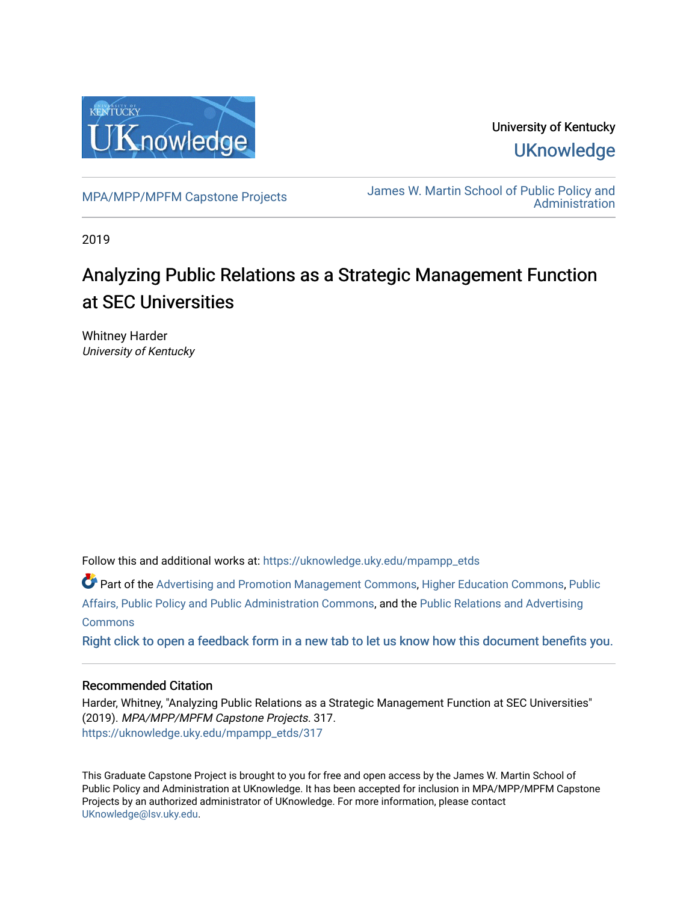

University of Kentucky **UKnowledge** 

[MPA/MPP/MPFM Capstone Projects](https://uknowledge.uky.edu/mpampp_etds) James W. Martin School of Public Policy and [Administration](https://uknowledge.uky.edu/msppa) 

2019

# Analyzing Public Relations as a Strategic Management Function at SEC Universities

Whitney Harder University of Kentucky

Follow this and additional works at: [https://uknowledge.uky.edu/mpampp\\_etds](https://uknowledge.uky.edu/mpampp_etds?utm_source=uknowledge.uky.edu%2Fmpampp_etds%2F317&utm_medium=PDF&utm_campaign=PDFCoverPages)

Part of the [Advertising and Promotion Management Commons,](http://network.bepress.com/hgg/discipline/626?utm_source=uknowledge.uky.edu%2Fmpampp_etds%2F317&utm_medium=PDF&utm_campaign=PDFCoverPages) [Higher Education Commons,](http://network.bepress.com/hgg/discipline/1245?utm_source=uknowledge.uky.edu%2Fmpampp_etds%2F317&utm_medium=PDF&utm_campaign=PDFCoverPages) [Public](http://network.bepress.com/hgg/discipline/393?utm_source=uknowledge.uky.edu%2Fmpampp_etds%2F317&utm_medium=PDF&utm_campaign=PDFCoverPages)  [Affairs, Public Policy and Public Administration Commons](http://network.bepress.com/hgg/discipline/393?utm_source=uknowledge.uky.edu%2Fmpampp_etds%2F317&utm_medium=PDF&utm_campaign=PDFCoverPages), and the [Public Relations and Advertising](http://network.bepress.com/hgg/discipline/336?utm_source=uknowledge.uky.edu%2Fmpampp_etds%2F317&utm_medium=PDF&utm_campaign=PDFCoverPages)  **[Commons](http://network.bepress.com/hgg/discipline/336?utm_source=uknowledge.uky.edu%2Fmpampp_etds%2F317&utm_medium=PDF&utm_campaign=PDFCoverPages)** 

[Right click to open a feedback form in a new tab to let us know how this document benefits you.](https://uky.az1.qualtrics.com/jfe/form/SV_9mq8fx2GnONRfz7)

### Recommended Citation

Harder, Whitney, "Analyzing Public Relations as a Strategic Management Function at SEC Universities" (2019). MPA/MPP/MPFM Capstone Projects. 317. [https://uknowledge.uky.edu/mpampp\\_etds/317](https://uknowledge.uky.edu/mpampp_etds/317?utm_source=uknowledge.uky.edu%2Fmpampp_etds%2F317&utm_medium=PDF&utm_campaign=PDFCoverPages)

This Graduate Capstone Project is brought to you for free and open access by the James W. Martin School of Public Policy and Administration at UKnowledge. It has been accepted for inclusion in MPA/MPP/MPFM Capstone Projects by an authorized administrator of UKnowledge. For more information, please contact [UKnowledge@lsv.uky.edu.](mailto:UKnowledge@lsv.uky.edu)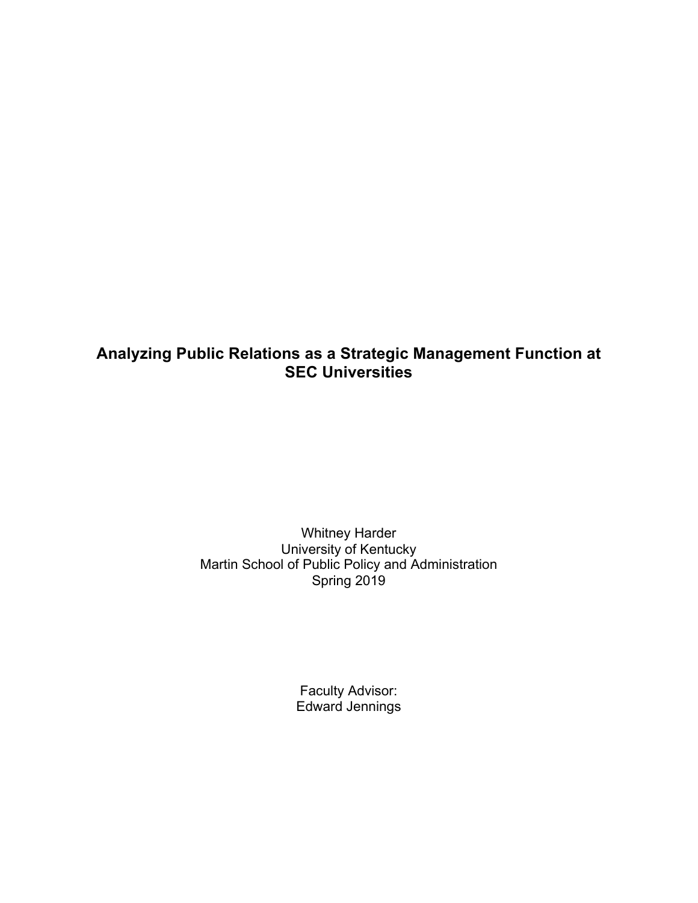# **Analyzing Public Relations as a Strategic Management Function at SEC Universities**

Whitney Harder University of Kentucky Martin School of Public Policy and Administration Spring 2019

> Faculty Advisor: Edward Jennings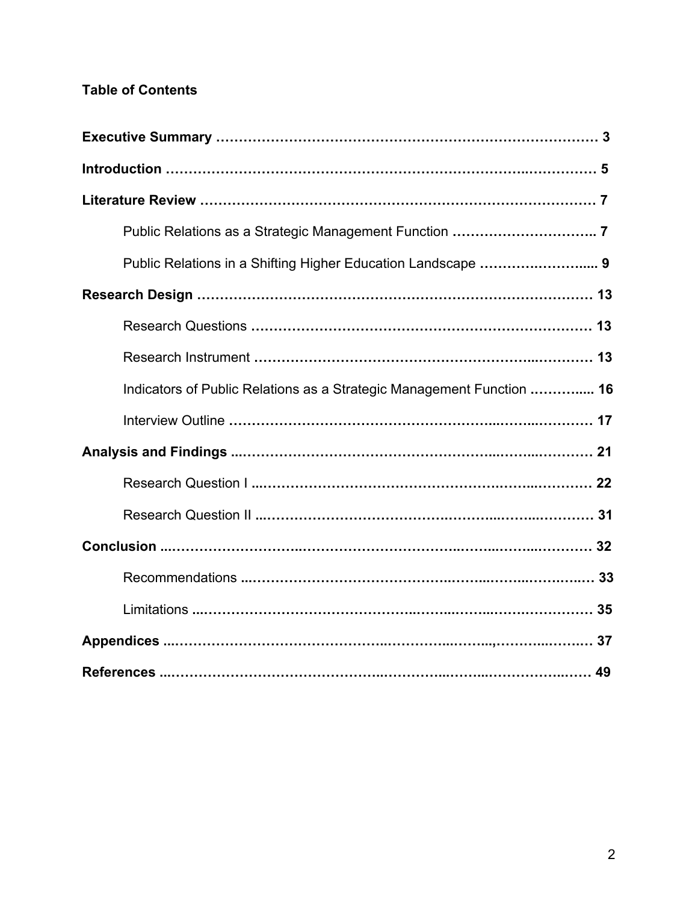# **Table of Contents**

| Public Relations in a Shifting Higher Education Landscape  9          |
|-----------------------------------------------------------------------|
|                                                                       |
|                                                                       |
|                                                                       |
| Indicators of Public Relations as a Strategic Management Function  16 |
|                                                                       |
|                                                                       |
|                                                                       |
|                                                                       |
|                                                                       |
|                                                                       |
|                                                                       |
|                                                                       |
|                                                                       |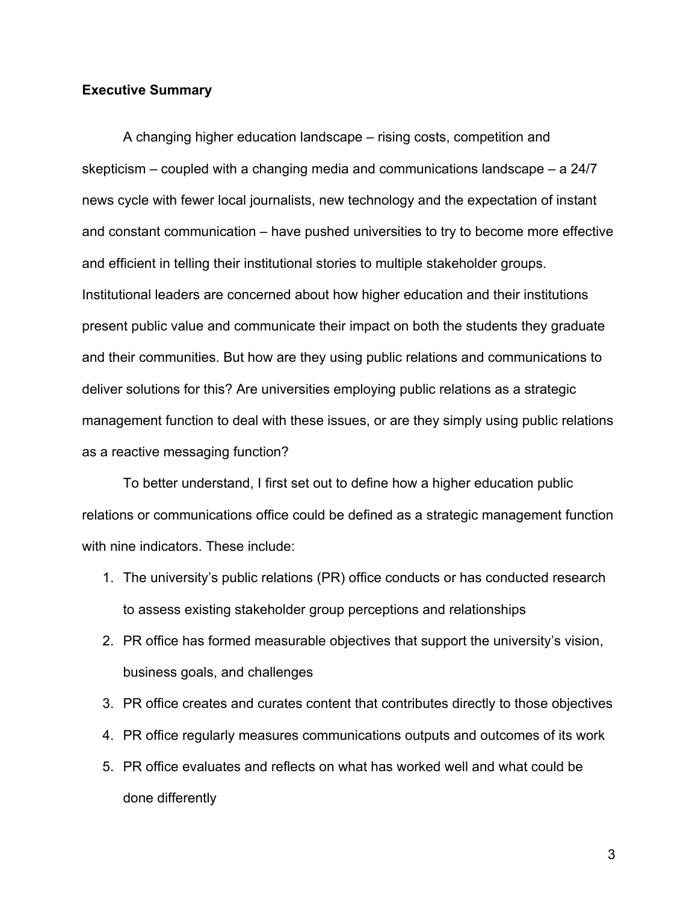### **Executive Summary**

A changing higher education landscape – rising costs, competition and skepticism – coupled with a changing media and communications landscape – a 24/7 news cycle with fewer local journalists, new technology and the expectation of instant and constant communication – have pushed universities to try to become more effective and efficient in telling their institutional stories to multiple stakeholder groups. Institutional leaders are concerned about how higher education and their institutions present public value and communicate their impact on both the students they graduate and their communities. But how are they using public relations and communications to deliver solutions for this? Are universities employing public relations as a strategic management function to deal with these issues, or are they simply using public relations as a reactive messaging function?

To better understand, I first set out to define how a higher education public relations or communications office could be defined as a strategic management function with nine indicators. These include:

- 1. The university's public relations (PR) office conducts or has conducted research to assess existing stakeholder group perceptions and relationships
- 2. PR office has formed measurable objectives that support the university's vision, business goals, and challenges
- 3. PR office creates and curates content that contributes directly to those objectives
- 4. PR office regularly measures communications outputs and outcomes of its work
- 5. PR office evaluates and reflects on what has worked well and what could be done differently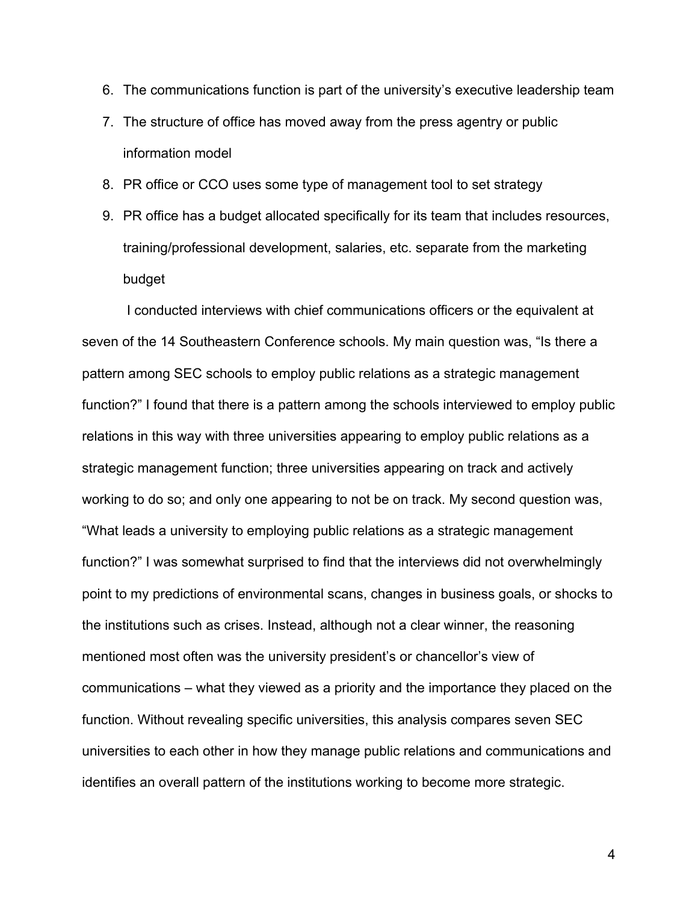- 6. The communications function is part of the university's executive leadership team
- 7. The structure of office has moved away from the press agentry or public information model
- 8. PR office or CCO uses some type of management tool to set strategy
- 9. PR office has a budget allocated specifically for its team that includes resources, training/professional development, salaries, etc. separate from the marketing budget

I conducted interviews with chief communications officers or the equivalent at seven of the 14 Southeastern Conference schools. My main question was, "Is there a pattern among SEC schools to employ public relations as a strategic management function?" I found that there is a pattern among the schools interviewed to employ public relations in this way with three universities appearing to employ public relations as a strategic management function; three universities appearing on track and actively working to do so; and only one appearing to not be on track. My second question was, "What leads a university to employing public relations as a strategic management function?" I was somewhat surprised to find that the interviews did not overwhelmingly point to my predictions of environmental scans, changes in business goals, or shocks to the institutions such as crises. Instead, although not a clear winner, the reasoning mentioned most often was the university president's or chancellor's view of communications – what they viewed as a priority and the importance they placed on the function. Without revealing specific universities, this analysis compares seven SEC universities to each other in how they manage public relations and communications and identifies an overall pattern of the institutions working to become more strategic.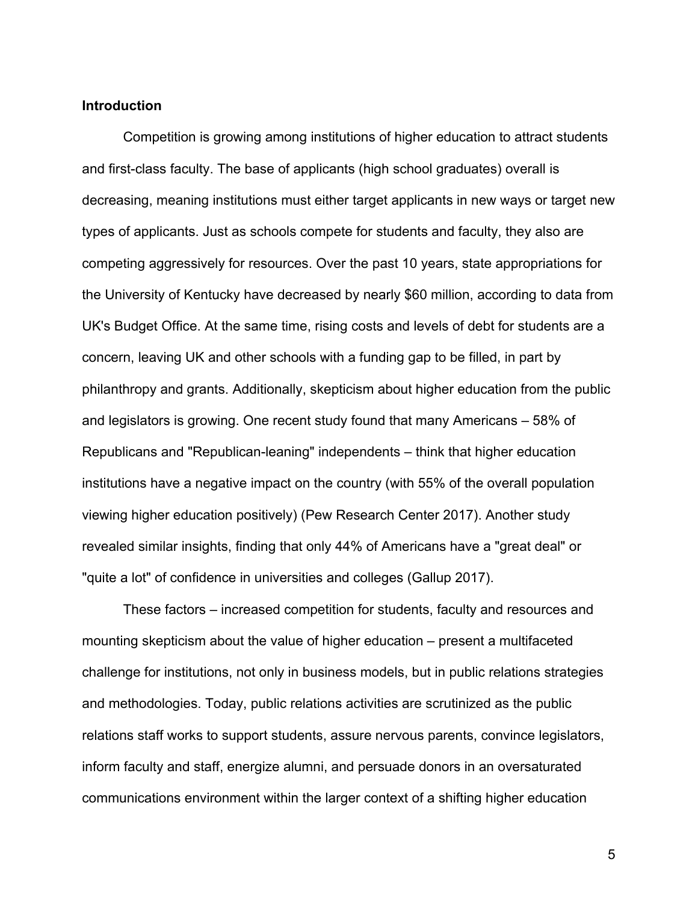#### **Introduction**

Competition is growing among institutions of higher education to attract students and first-class faculty. The base of applicants (high school graduates) overall is decreasing, meaning institutions must either target applicants in new ways or target new types of applicants. Just as schools compete for students and faculty, they also are competing aggressively for resources. Over the past 10 years, state appropriations for the University of Kentucky have decreased by nearly \$60 million, according to data from UK's Budget Office. At the same time, rising costs and levels of debt for students are a concern, leaving UK and other schools with a funding gap to be filled, in part by philanthropy and grants. Additionally, skepticism about higher education from the public and legislators is growing. One recent study found that many Americans – 58% of Republicans and "Republican-leaning" independents – think that higher education institutions have a negative impact on the country (with 55% of the overall population viewing higher education positively) (Pew Research Center 2017). Another study revealed similar insights, finding that only 44% of Americans have a "great deal" or "quite a lot" of confidence in universities and colleges (Gallup 2017).

These factors – increased competition for students, faculty and resources and mounting skepticism about the value of higher education – present a multifaceted challenge for institutions, not only in business models, but in public relations strategies and methodologies. Today, public relations activities are scrutinized as the public relations staff works to support students, assure nervous parents, convince legislators, inform faculty and staff, energize alumni, and persuade donors in an oversaturated communications environment within the larger context of a shifting higher education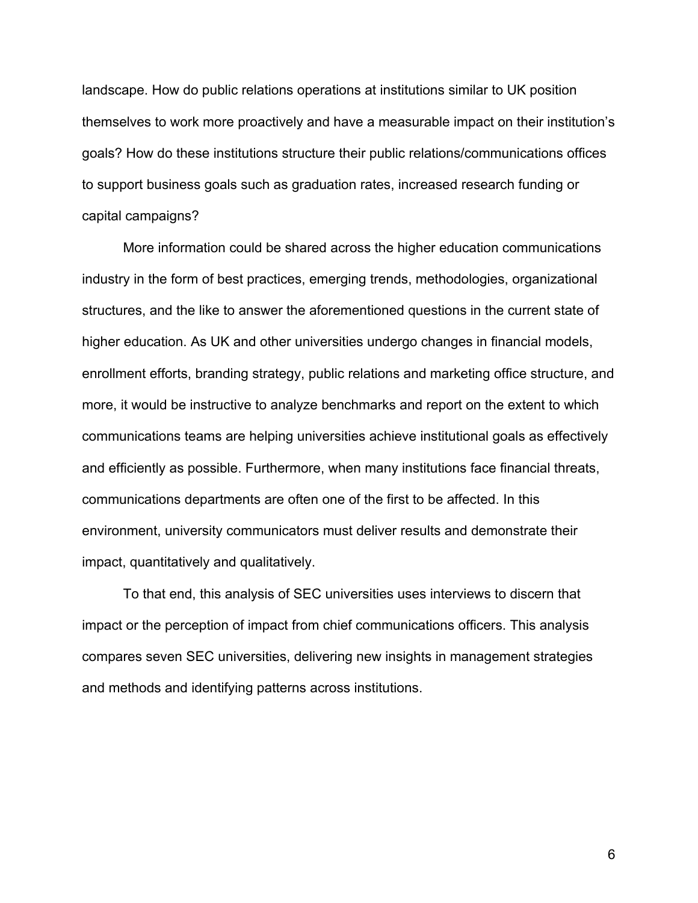landscape. How do public relations operations at institutions similar to UK position themselves to work more proactively and have a measurable impact on their institution's goals? How do these institutions structure their public relations/communications offices to support business goals such as graduation rates, increased research funding or capital campaigns?

More information could be shared across the higher education communications industry in the form of best practices, emerging trends, methodologies, organizational structures, and the like to answer the aforementioned questions in the current state of higher education. As UK and other universities undergo changes in financial models, enrollment efforts, branding strategy, public relations and marketing office structure, and more, it would be instructive to analyze benchmarks and report on the extent to which communications teams are helping universities achieve institutional goals as effectively and efficiently as possible. Furthermore, when many institutions face financial threats, communications departments are often one of the first to be affected. In this environment, university communicators must deliver results and demonstrate their impact, quantitatively and qualitatively.

To that end, this analysis of SEC universities uses interviews to discern that impact or the perception of impact from chief communications officers. This analysis compares seven SEC universities, delivering new insights in management strategies and methods and identifying patterns across institutions.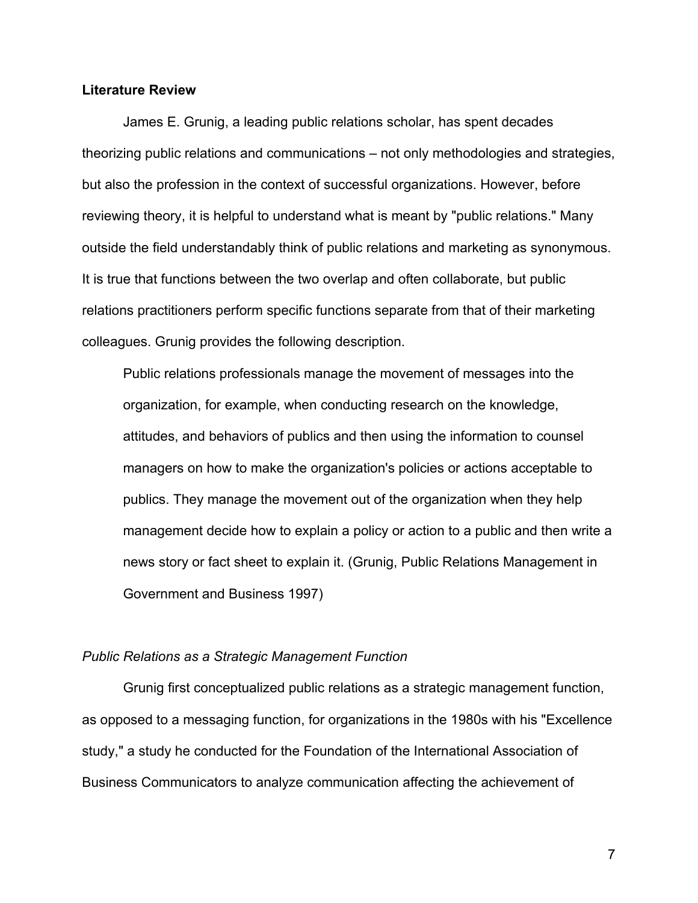### **Literature Review**

James E. Grunig, a leading public relations scholar, has spent decades theorizing public relations and communications – not only methodologies and strategies, but also the profession in the context of successful organizations. However, before reviewing theory, it is helpful to understand what is meant by "public relations." Many outside the field understandably think of public relations and marketing as synonymous. It is true that functions between the two overlap and often collaborate, but public relations practitioners perform specific functions separate from that of their marketing colleagues. Grunig provides the following description.

Public relations professionals manage the movement of messages into the organization, for example, when conducting research on the knowledge, attitudes, and behaviors of publics and then using the information to counsel managers on how to make the organization's policies or actions acceptable to publics. They manage the movement out of the organization when they help management decide how to explain a policy or action to a public and then write a news story or fact sheet to explain it. (Grunig, Public Relations Management in Government and Business 1997)

### *Public Relations as a Strategic Management Function*

Grunig first conceptualized public relations as a strategic management function, as opposed to a messaging function, for organizations in the 1980s with his "Excellence study," a study he conducted for the Foundation of the International Association of Business Communicators to analyze communication affecting the achievement of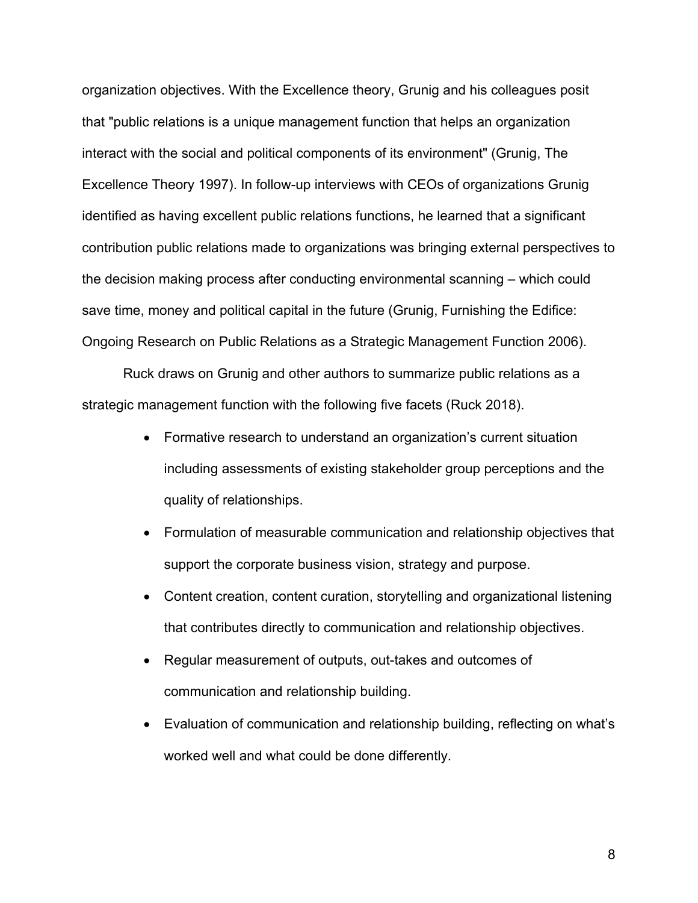organization objectives. With the Excellence theory, Grunig and his colleagues posit that "public relations is a unique management function that helps an organization interact with the social and political components of its environment" (Grunig, The Excellence Theory 1997). In follow-up interviews with CEOs of organizations Grunig identified as having excellent public relations functions, he learned that a significant contribution public relations made to organizations was bringing external perspectives to the decision making process after conducting environmental scanning – which could save time, money and political capital in the future (Grunig, Furnishing the Edifice: Ongoing Research on Public Relations as a Strategic Management Function 2006).

Ruck draws on Grunig and other authors to summarize public relations as a strategic management function with the following five facets (Ruck 2018).

- Formative research to understand an organization's current situation including assessments of existing stakeholder group perceptions and the quality of relationships.
- Formulation of measurable communication and relationship objectives that support the corporate business vision, strategy and purpose.
- Content creation, content curation, storytelling and organizational listening that contributes directly to communication and relationship objectives.
- Regular measurement of outputs, out-takes and outcomes of communication and relationship building.
- Evaluation of communication and relationship building, reflecting on what's worked well and what could be done differently.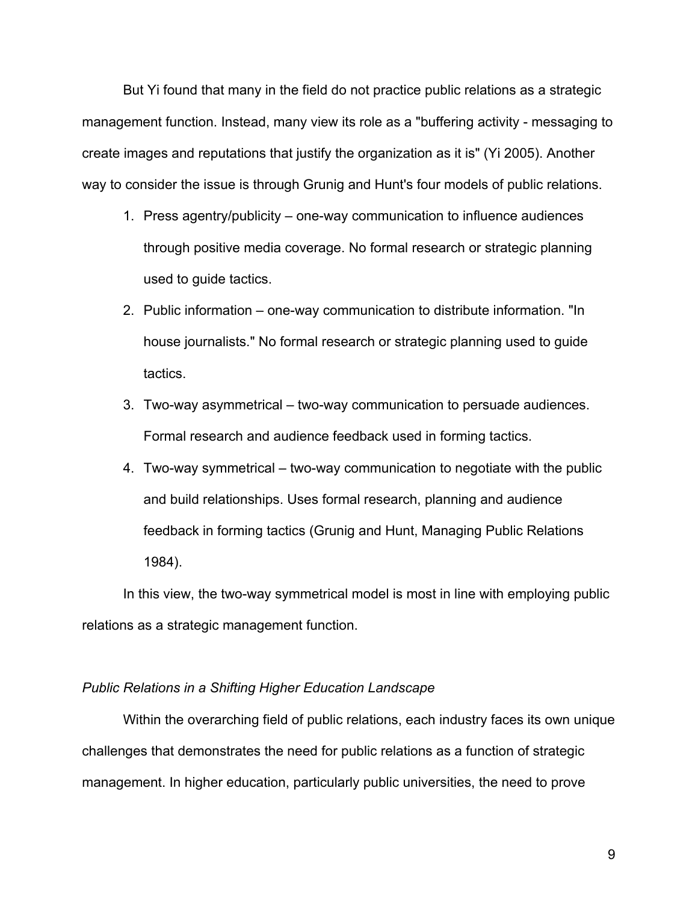But Yi found that many in the field do not practice public relations as a strategic management function. Instead, many view its role as a "buffering activity - messaging to create images and reputations that justify the organization as it is" (Yi 2005). Another way to consider the issue is through Grunig and Hunt's four models of public relations.

- 1. Press agentry/publicity one-way communication to influence audiences through positive media coverage. No formal research or strategic planning used to guide tactics.
- 2. Public information one-way communication to distribute information. "In house journalists." No formal research or strategic planning used to guide tactics.
- 3. Two-way asymmetrical two-way communication to persuade audiences. Formal research and audience feedback used in forming tactics.
- 4. Two-way symmetrical two-way communication to negotiate with the public and build relationships. Uses formal research, planning and audience feedback in forming tactics (Grunig and Hunt, Managing Public Relations 1984).

In this view, the two-way symmetrical model is most in line with employing public relations as a strategic management function.

### *Public Relations in a Shifting Higher Education Landscape*

Within the overarching field of public relations, each industry faces its own unique challenges that demonstrates the need for public relations as a function of strategic management. In higher education, particularly public universities, the need to prove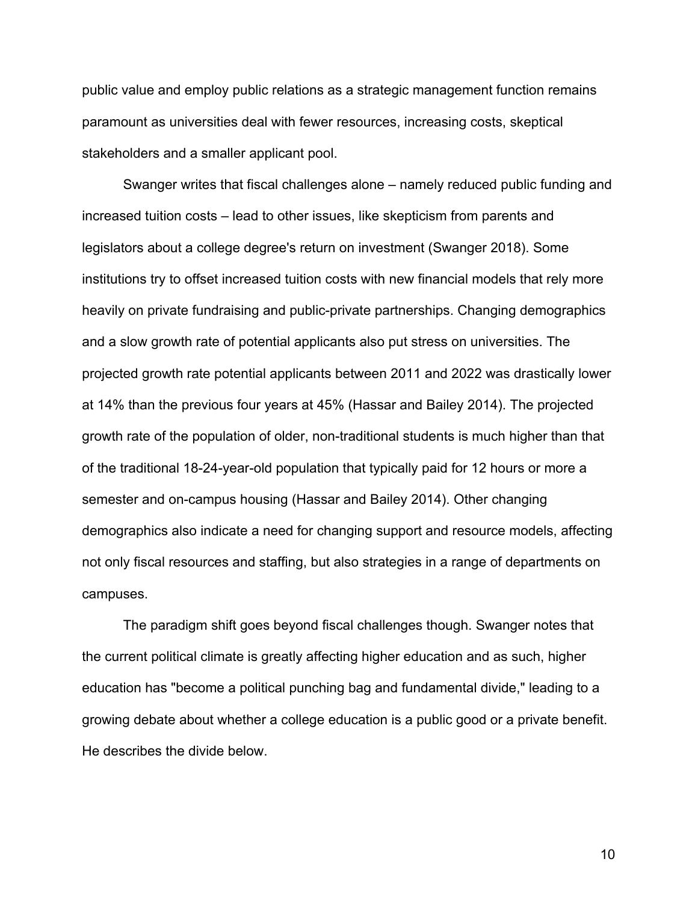public value and employ public relations as a strategic management function remains paramount as universities deal with fewer resources, increasing costs, skeptical stakeholders and a smaller applicant pool.

Swanger writes that fiscal challenges alone – namely reduced public funding and increased tuition costs – lead to other issues, like skepticism from parents and legislators about a college degree's return on investment (Swanger 2018). Some institutions try to offset increased tuition costs with new financial models that rely more heavily on private fundraising and public-private partnerships. Changing demographics and a slow growth rate of potential applicants also put stress on universities. The projected growth rate potential applicants between 2011 and 2022 was drastically lower at 14% than the previous four years at 45% (Hassar and Bailey 2014). The projected growth rate of the population of older, non-traditional students is much higher than that of the traditional 18-24-year-old population that typically paid for 12 hours or more a semester and on-campus housing (Hassar and Bailey 2014). Other changing demographics also indicate a need for changing support and resource models, affecting not only fiscal resources and staffing, but also strategies in a range of departments on campuses.

The paradigm shift goes beyond fiscal challenges though. Swanger notes that the current political climate is greatly affecting higher education and as such, higher education has "become a political punching bag and fundamental divide," leading to a growing debate about whether a college education is a public good or a private benefit. He describes the divide below.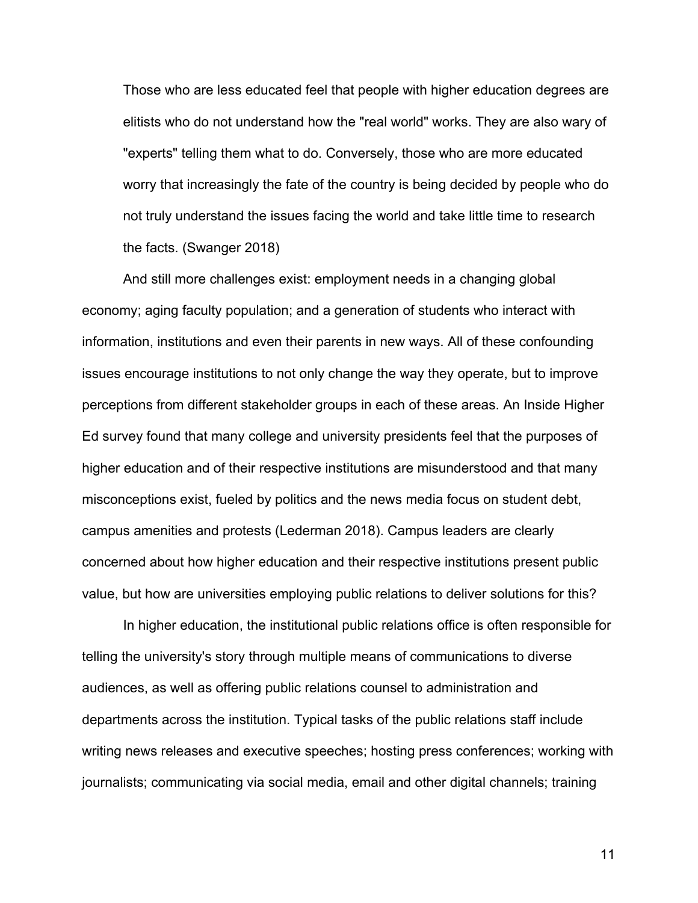Those who are less educated feel that people with higher education degrees are elitists who do not understand how the "real world" works. They are also wary of "experts" telling them what to do. Conversely, those who are more educated worry that increasingly the fate of the country is being decided by people who do not truly understand the issues facing the world and take little time to research the facts. (Swanger 2018)

And still more challenges exist: employment needs in a changing global economy; aging faculty population; and a generation of students who interact with information, institutions and even their parents in new ways. All of these confounding issues encourage institutions to not only change the way they operate, but to improve perceptions from different stakeholder groups in each of these areas. An Inside Higher Ed survey found that many college and university presidents feel that the purposes of higher education and of their respective institutions are misunderstood and that many misconceptions exist, fueled by politics and the news media focus on student debt, campus amenities and protests (Lederman 2018). Campus leaders are clearly concerned about how higher education and their respective institutions present public value, but how are universities employing public relations to deliver solutions for this?

In higher education, the institutional public relations office is often responsible for telling the university's story through multiple means of communications to diverse audiences, as well as offering public relations counsel to administration and departments across the institution. Typical tasks of the public relations staff include writing news releases and executive speeches; hosting press conferences; working with journalists; communicating via social media, email and other digital channels; training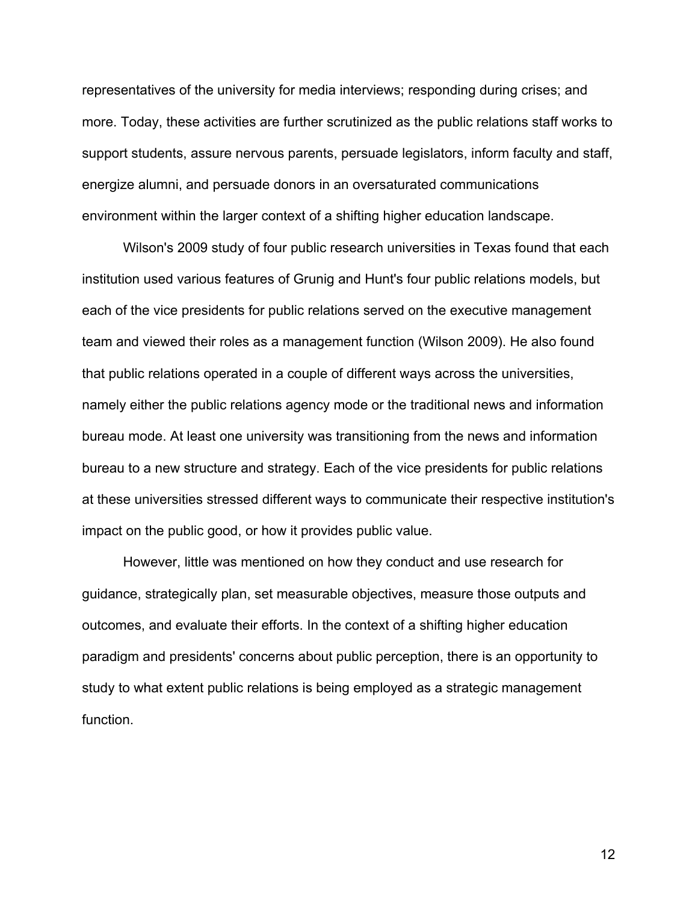representatives of the university for media interviews; responding during crises; and more. Today, these activities are further scrutinized as the public relations staff works to support students, assure nervous parents, persuade legislators, inform faculty and staff, energize alumni, and persuade donors in an oversaturated communications environment within the larger context of a shifting higher education landscape.

Wilson's 2009 study of four public research universities in Texas found that each institution used various features of Grunig and Hunt's four public relations models, but each of the vice presidents for public relations served on the executive management team and viewed their roles as a management function (Wilson 2009). He also found that public relations operated in a couple of different ways across the universities, namely either the public relations agency mode or the traditional news and information bureau mode. At least one university was transitioning from the news and information bureau to a new structure and strategy. Each of the vice presidents for public relations at these universities stressed different ways to communicate their respective institution's impact on the public good, or how it provides public value.

However, little was mentioned on how they conduct and use research for guidance, strategically plan, set measurable objectives, measure those outputs and outcomes, and evaluate their efforts. In the context of a shifting higher education paradigm and presidents' concerns about public perception, there is an opportunity to study to what extent public relations is being employed as a strategic management function.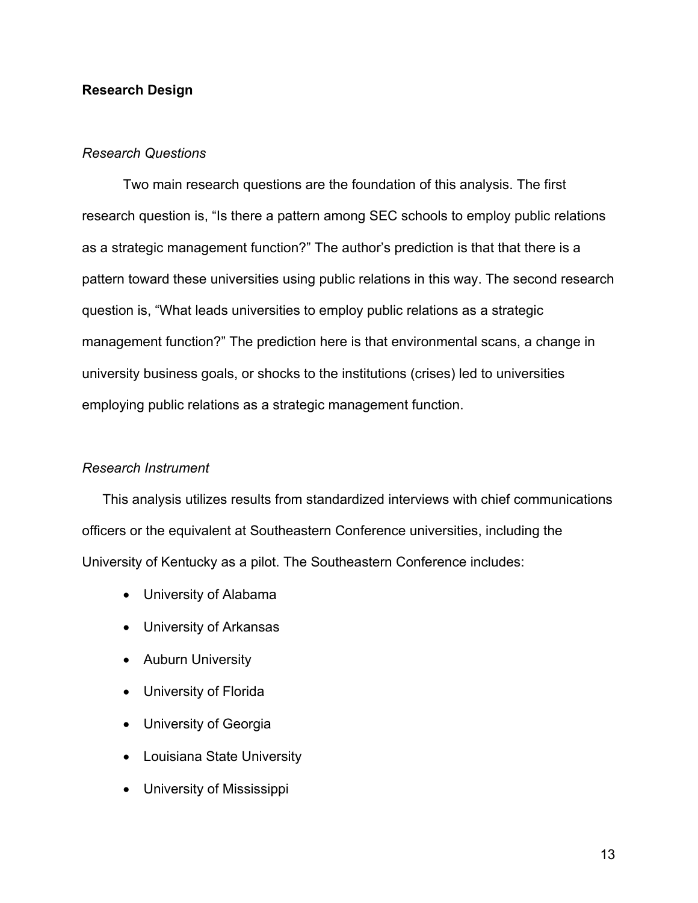### **Research Design**

### *Research Questions*

Two main research questions are the foundation of this analysis. The first research question is, "Is there a pattern among SEC schools to employ public relations as a strategic management function?" The author's prediction is that that there is a pattern toward these universities using public relations in this way. The second research question is, "What leads universities to employ public relations as a strategic management function?" The prediction here is that environmental scans, a change in university business goals, or shocks to the institutions (crises) led to universities employing public relations as a strategic management function.

### *Research Instrument*

This analysis utilizes results from standardized interviews with chief communications officers or the equivalent at Southeastern Conference universities, including the University of Kentucky as a pilot. The Southeastern Conference includes:

- University of Alabama
- University of Arkansas
- Auburn University
- University of Florida
- University of Georgia
- Louisiana State University
- University of Mississippi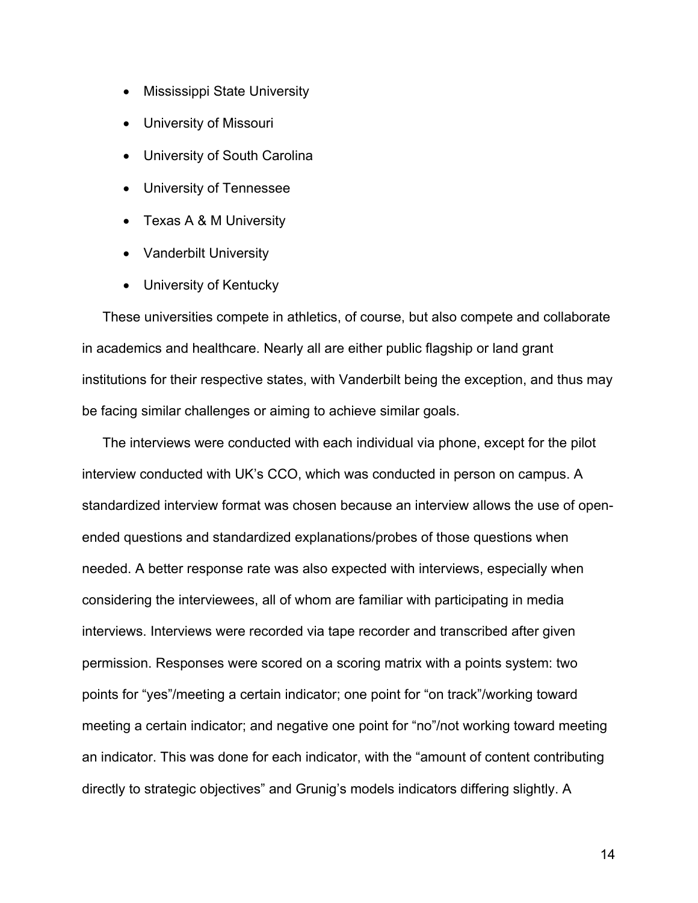- Mississippi State University
- University of Missouri
- University of South Carolina
- University of Tennessee
- Texas A & M University
- Vanderbilt University
- University of Kentucky

These universities compete in athletics, of course, but also compete and collaborate in academics and healthcare. Nearly all are either public flagship or land grant institutions for their respective states, with Vanderbilt being the exception, and thus may be facing similar challenges or aiming to achieve similar goals.

The interviews were conducted with each individual via phone, except for the pilot interview conducted with UK's CCO, which was conducted in person on campus. A standardized interview format was chosen because an interview allows the use of openended questions and standardized explanations/probes of those questions when needed. A better response rate was also expected with interviews, especially when considering the interviewees, all of whom are familiar with participating in media interviews. Interviews were recorded via tape recorder and transcribed after given permission. Responses were scored on a scoring matrix with a points system: two points for "yes"/meeting a certain indicator; one point for "on track"/working toward meeting a certain indicator; and negative one point for "no"/not working toward meeting an indicator. This was done for each indicator, with the "amount of content contributing directly to strategic objectives" and Grunig's models indicators differing slightly. A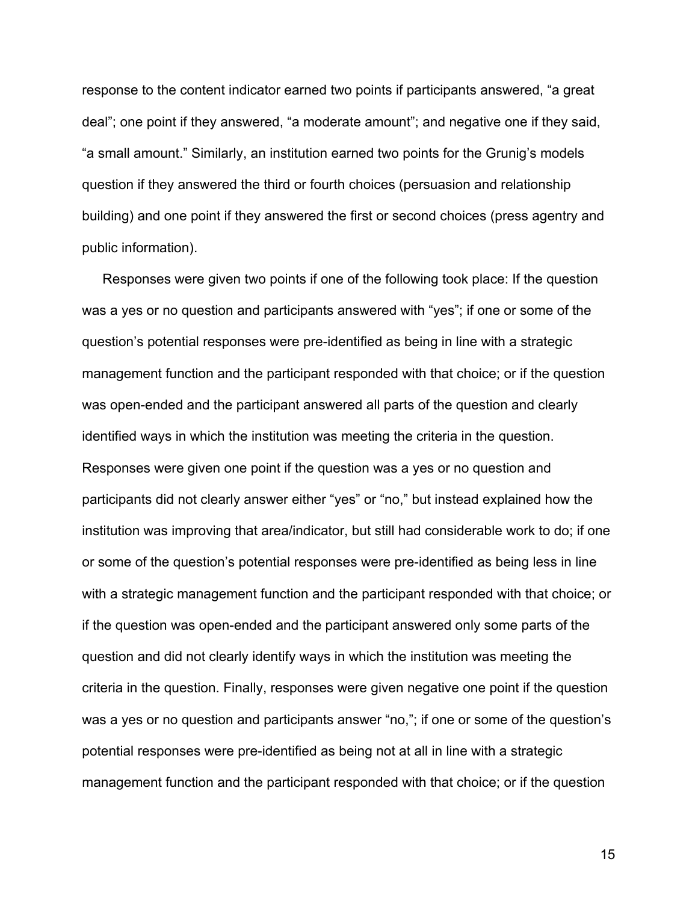response to the content indicator earned two points if participants answered, "a great deal"; one point if they answered, "a moderate amount"; and negative one if they said, "a small amount." Similarly, an institution earned two points for the Grunig's models question if they answered the third or fourth choices (persuasion and relationship building) and one point if they answered the first or second choices (press agentry and public information).

Responses were given two points if one of the following took place: If the question was a yes or no question and participants answered with "yes"; if one or some of the question's potential responses were pre-identified as being in line with a strategic management function and the participant responded with that choice; or if the question was open-ended and the participant answered all parts of the question and clearly identified ways in which the institution was meeting the criteria in the question. Responses were given one point if the question was a yes or no question and participants did not clearly answer either "yes" or "no," but instead explained how the institution was improving that area/indicator, but still had considerable work to do; if one or some of the question's potential responses were pre-identified as being less in line with a strategic management function and the participant responded with that choice; or if the question was open-ended and the participant answered only some parts of the question and did not clearly identify ways in which the institution was meeting the criteria in the question. Finally, responses were given negative one point if the question was a yes or no question and participants answer "no,"; if one or some of the question's potential responses were pre-identified as being not at all in line with a strategic management function and the participant responded with that choice; or if the question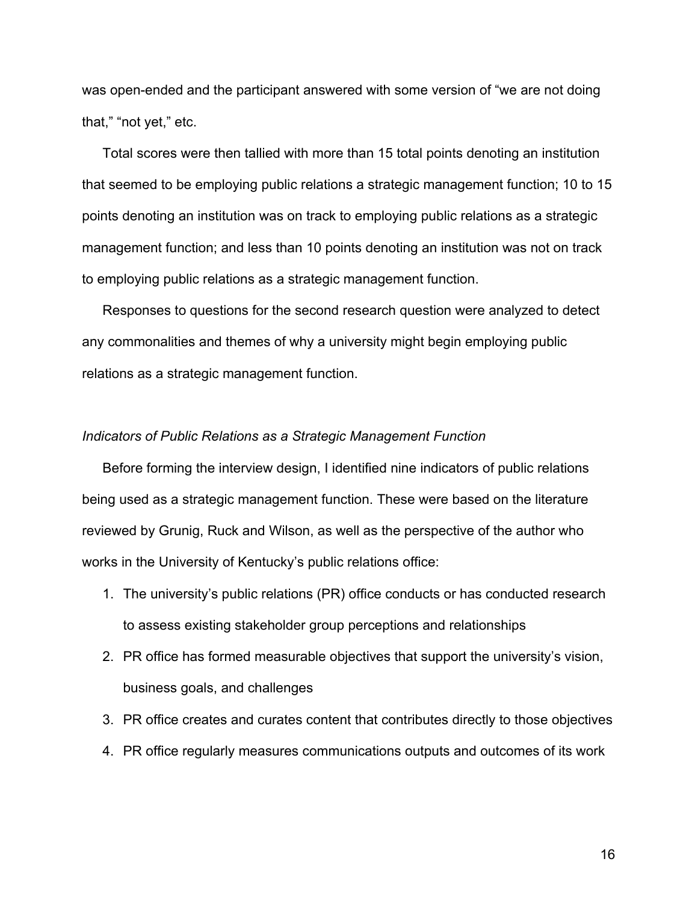was open-ended and the participant answered with some version of "we are not doing that," "not yet," etc.

Total scores were then tallied with more than 15 total points denoting an institution that seemed to be employing public relations a strategic management function; 10 to 15 points denoting an institution was on track to employing public relations as a strategic management function; and less than 10 points denoting an institution was not on track to employing public relations as a strategic management function.

Responses to questions for the second research question were analyzed to detect any commonalities and themes of why a university might begin employing public relations as a strategic management function.

### *Indicators of Public Relations as a Strategic Management Function*

Before forming the interview design, I identified nine indicators of public relations being used as a strategic management function. These were based on the literature reviewed by Grunig, Ruck and Wilson, as well as the perspective of the author who works in the University of Kentucky's public relations office:

- 1. The university's public relations (PR) office conducts or has conducted research to assess existing stakeholder group perceptions and relationships
- 2. PR office has formed measurable objectives that support the university's vision, business goals, and challenges
- 3. PR office creates and curates content that contributes directly to those objectives
- 4. PR office regularly measures communications outputs and outcomes of its work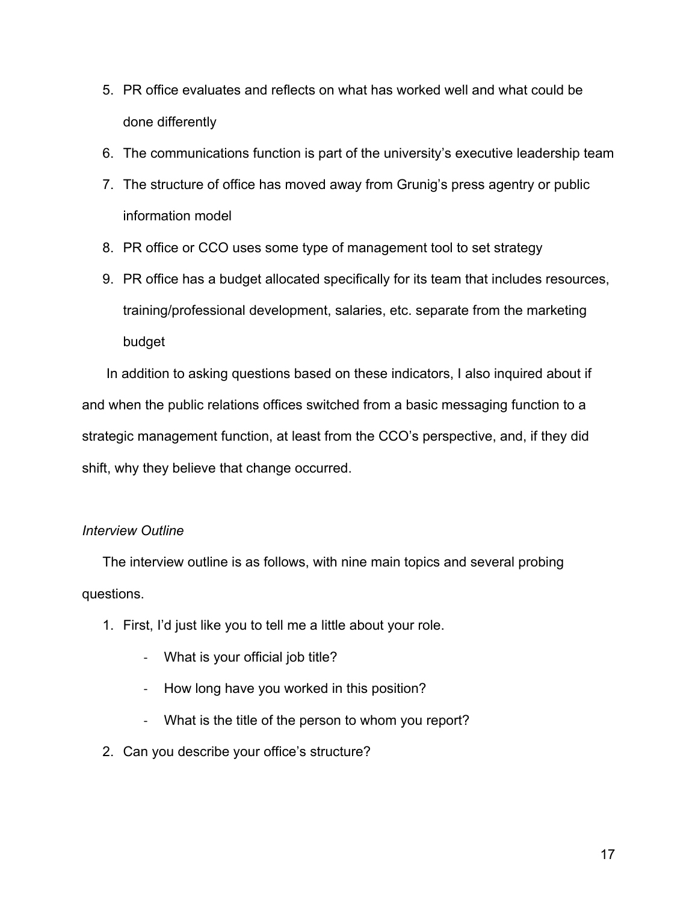- 5. PR office evaluates and reflects on what has worked well and what could be done differently
- 6. The communications function is part of the university's executive leadership team
- 7. The structure of office has moved away from Grunig's press agentry or public information model
- 8. PR office or CCO uses some type of management tool to set strategy
- 9. PR office has a budget allocated specifically for its team that includes resources, training/professional development, salaries, etc. separate from the marketing budget

In addition to asking questions based on these indicators, I also inquired about if and when the public relations offices switched from a basic messaging function to a strategic management function, at least from the CCO's perspective, and, if they did shift, why they believe that change occurred.

### *Interview Outline*

The interview outline is as follows, with nine main topics and several probing questions.

- 1. First, I'd just like you to tell me a little about your role.
	- What is your official job title?
	- How long have you worked in this position?
	- What is the title of the person to whom you report?
- 2. Can you describe your office's structure?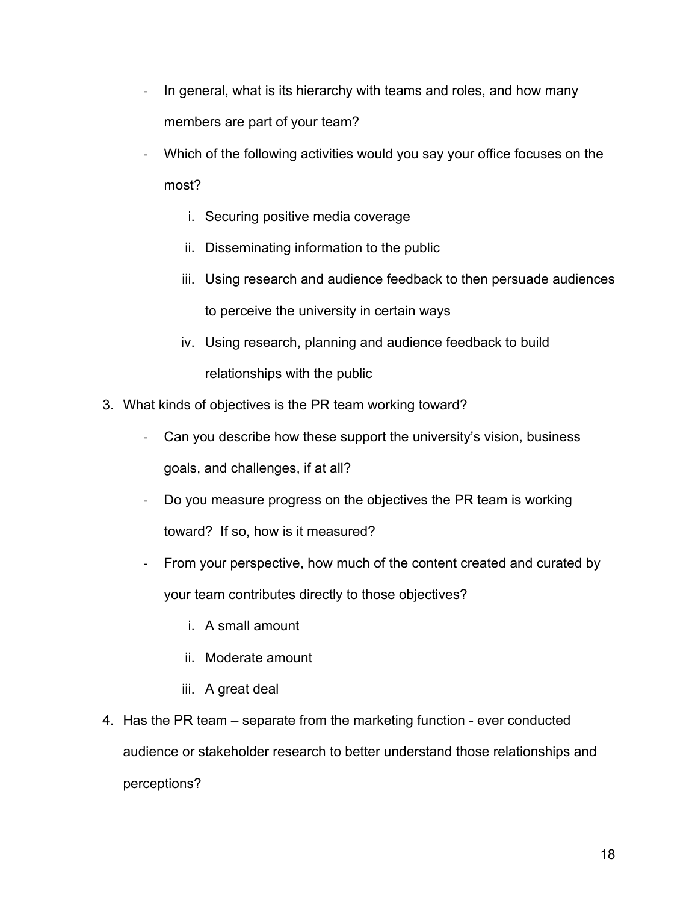- In general, what is its hierarchy with teams and roles, and how many members are part of your team?
- Which of the following activities would you say your office focuses on the most?
	- i. Securing positive media coverage
	- ii. Disseminating information to the public
	- iii. Using research and audience feedback to then persuade audiences to perceive the university in certain ways
	- iv. Using research, planning and audience feedback to build relationships with the public
- 3. What kinds of objectives is the PR team working toward?
	- Can you describe how these support the university's vision, business goals, and challenges, if at all?
	- Do you measure progress on the objectives the PR team is working toward? If so, how is it measured?
	- From your perspective, how much of the content created and curated by your team contributes directly to those objectives?
		- i. A small amount
		- ii. Moderate amount
		- iii. A great deal
- 4. Has the PR team separate from the marketing function ever conducted audience or stakeholder research to better understand those relationships and perceptions?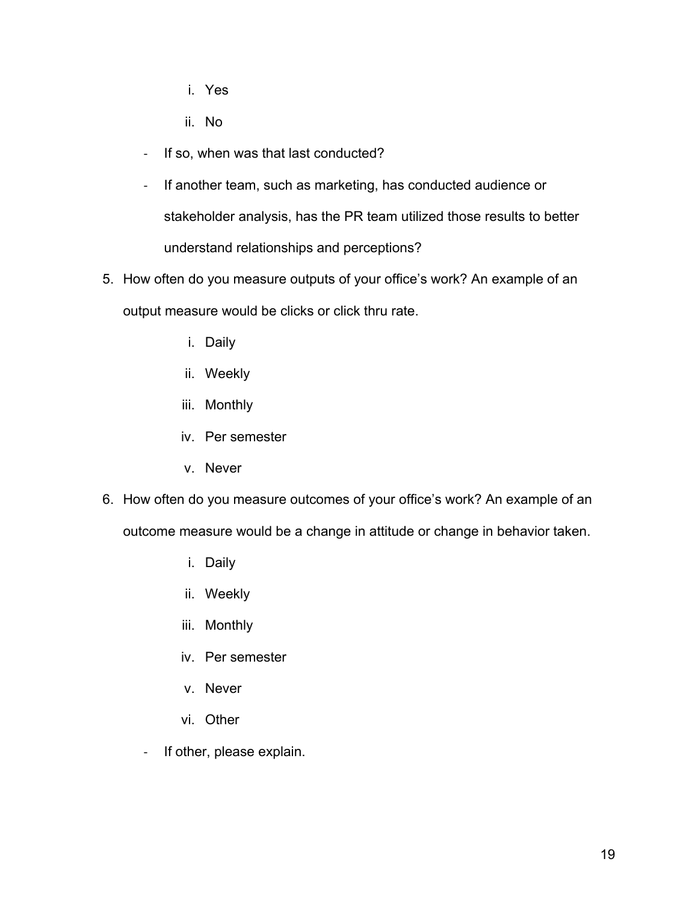- i. Yes
- ii. No
- If so, when was that last conducted?
- If another team, such as marketing, has conducted audience or stakeholder analysis, has the PR team utilized those results to better understand relationships and perceptions?
- 5. How often do you measure outputs of your office's work? An example of an output measure would be clicks or click thru rate.
	- i. Daily
	- ii. Weekly
	- iii. Monthly
	- iv. Per semester
	- v. Never
- 6. How often do you measure outcomes of your office's work? An example of an outcome measure would be a change in attitude or change in behavior taken.
	- i. Daily
	- ii. Weekly
	- iii. Monthly
	- iv. Per semester
	- v. Never
	- vi. Other
	- If other, please explain.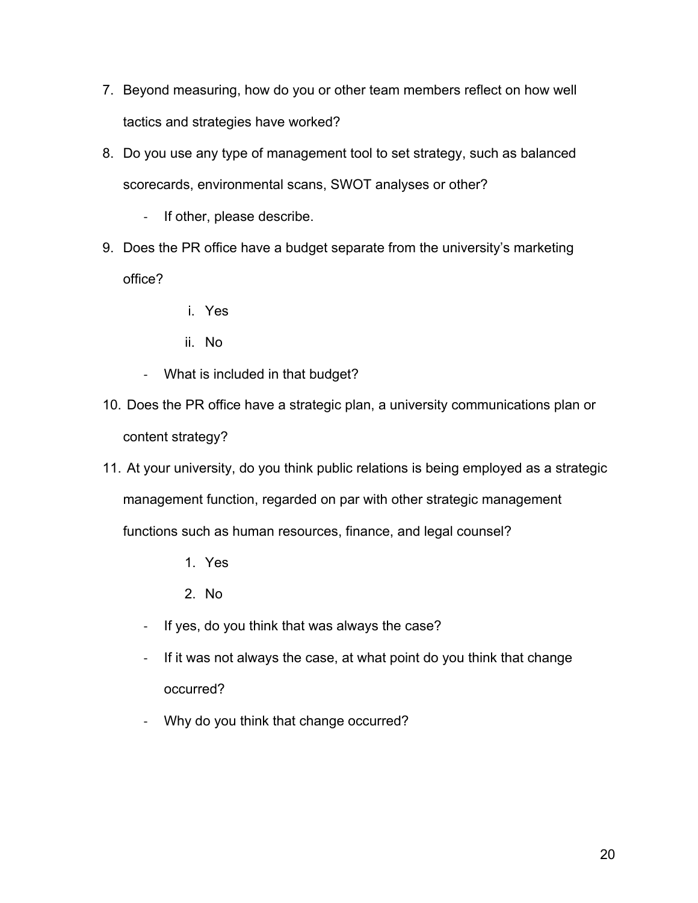- 7. Beyond measuring, how do you or other team members reflect on how well tactics and strategies have worked?
- 8. Do you use any type of management tool to set strategy, such as balanced scorecards, environmental scans, SWOT analyses or other?
	- If other, please describe.
- 9. Does the PR office have a budget separate from the university's marketing office?
	- i. Yes
	- ii. No
	- What is included in that budget?
- 10. Does the PR office have a strategic plan, a university communications plan or content strategy?
- 11. At your university, do you think public relations is being employed as a strategic management function, regarded on par with other strategic management functions such as human resources, finance, and legal counsel?
	- 1. Yes
	- 2. No
	- If yes, do you think that was always the case?
	- If it was not always the case, at what point do you think that change occurred?
	- Why do you think that change occurred?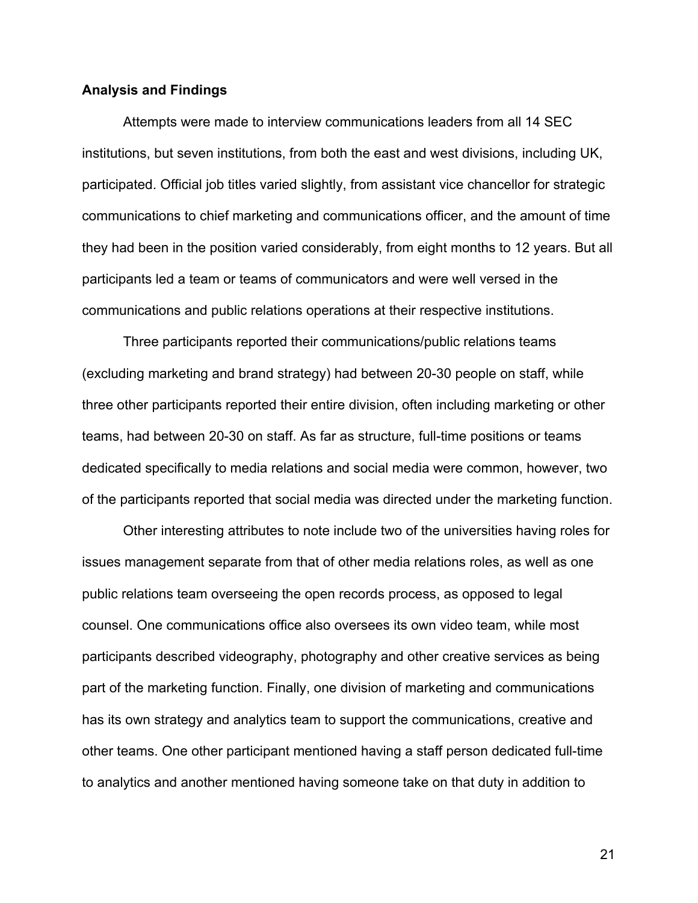### **Analysis and Findings**

Attempts were made to interview communications leaders from all 14 SEC institutions, but seven institutions, from both the east and west divisions, including UK, participated. Official job titles varied slightly, from assistant vice chancellor for strategic communications to chief marketing and communications officer, and the amount of time they had been in the position varied considerably, from eight months to 12 years. But all participants led a team or teams of communicators and were well versed in the communications and public relations operations at their respective institutions.

Three participants reported their communications/public relations teams (excluding marketing and brand strategy) had between 20-30 people on staff, while three other participants reported their entire division, often including marketing or other teams, had between 20-30 on staff. As far as structure, full-time positions or teams dedicated specifically to media relations and social media were common, however, two of the participants reported that social media was directed under the marketing function.

Other interesting attributes to note include two of the universities having roles for issues management separate from that of other media relations roles, as well as one public relations team overseeing the open records process, as opposed to legal counsel. One communications office also oversees its own video team, while most participants described videography, photography and other creative services as being part of the marketing function. Finally, one division of marketing and communications has its own strategy and analytics team to support the communications, creative and other teams. One other participant mentioned having a staff person dedicated full-time to analytics and another mentioned having someone take on that duty in addition to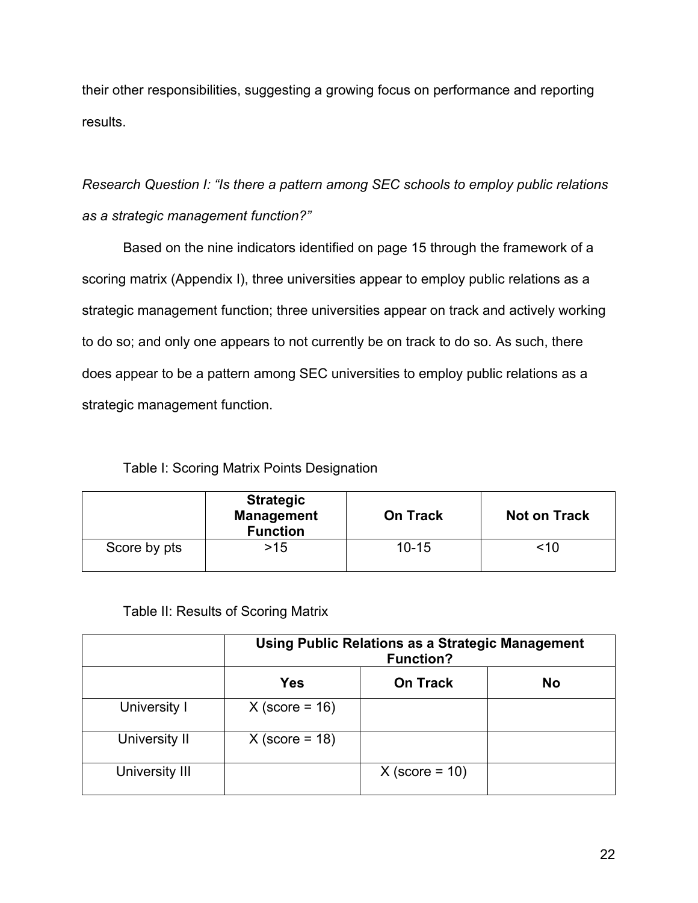their other responsibilities, suggesting a growing focus on performance and reporting results.

*Research Question I: "Is there a pattern among SEC schools to employ public relations as a strategic management function?"*

Based on the nine indicators identified on page 15 through the framework of a scoring matrix (Appendix I), three universities appear to employ public relations as a strategic management function; three universities appear on track and actively working to do so; and only one appears to not currently be on track to do so. As such, there does appear to be a pattern among SEC universities to employ public relations as a strategic management function.

### Table I: Scoring Matrix Points Designation

|              | <b>Strategic</b><br><b>Management</b><br><b>Function</b> | <b>On Track</b> | <b>Not on Track</b> |
|--------------|----------------------------------------------------------|-----------------|---------------------|
| Score by pts | $>15$                                                    | $10 - 15$       | <10                 |

### Table II: Results of Scoring Matrix

|                | <b>Using Public Relations as a Strategic Management</b><br><b>Function?</b> |                  |           |
|----------------|-----------------------------------------------------------------------------|------------------|-----------|
|                | <b>Yes</b>                                                                  | <b>On Track</b>  | <b>No</b> |
| University I   | $X$ (score = 16)                                                            |                  |           |
| University II  | $X$ (score = 18)                                                            |                  |           |
| University III |                                                                             | $X$ (score = 10) |           |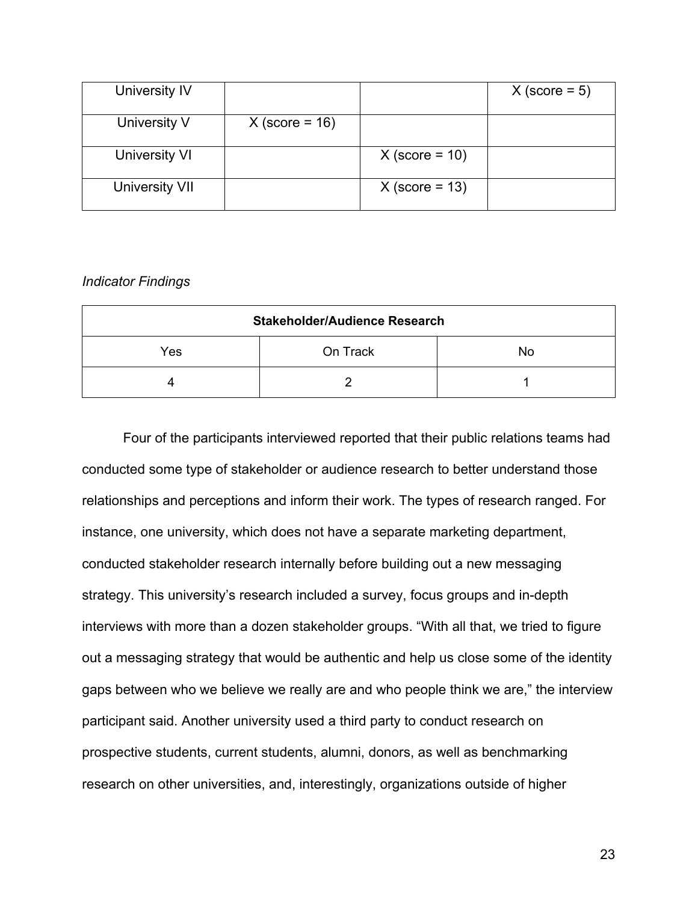| University IV  |                  |                  | $X$ (score = 5) |
|----------------|------------------|------------------|-----------------|
| University V   | $X$ (score = 16) |                  |                 |
| University VI  |                  | $X$ (score = 10) |                 |
| University VII |                  | $X$ (score = 13) |                 |

### *Indicator Findings*

| <b>Stakeholder/Audience Research</b> |  |  |  |  |
|--------------------------------------|--|--|--|--|
| On Track<br>Yes<br>No                |  |  |  |  |
|                                      |  |  |  |  |

Four of the participants interviewed reported that their public relations teams had conducted some type of stakeholder or audience research to better understand those relationships and perceptions and inform their work. The types of research ranged. For instance, one university, which does not have a separate marketing department, conducted stakeholder research internally before building out a new messaging strategy. This university's research included a survey, focus groups and in-depth interviews with more than a dozen stakeholder groups. "With all that, we tried to figure out a messaging strategy that would be authentic and help us close some of the identity gaps between who we believe we really are and who people think we are," the interview participant said. Another university used a third party to conduct research on prospective students, current students, alumni, donors, as well as benchmarking research on other universities, and, interestingly, organizations outside of higher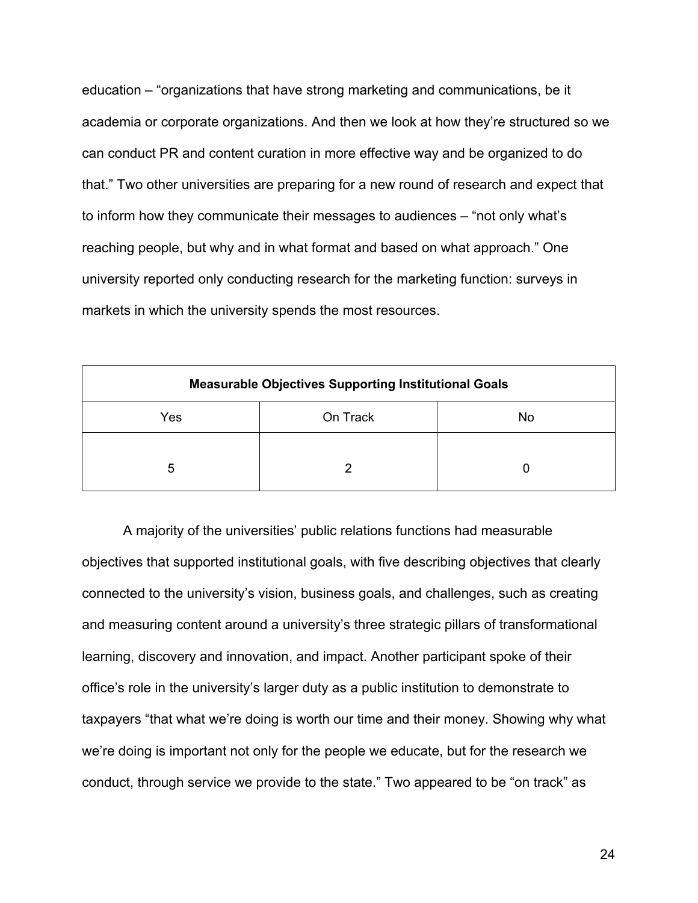education – "organizations that have strong marketing and communications, be it academia or corporate organizations. And then we look at how they're structured so we can conduct PR and content curation in more effective way and be organized to do that." Two other universities are preparing for a new round of research and expect that to inform how they communicate their messages to audiences – "not only what's reaching people, but why and in what format and based on what approach." One university reported only conducting research for the marketing function: surveys in markets in which the university spends the most resources.

| <b>Measurable Objectives Supporting Institutional Goals</b> |  |  |  |  |
|-------------------------------------------------------------|--|--|--|--|
| Yes<br>On Track<br>No                                       |  |  |  |  |
| 5                                                           |  |  |  |  |

A majority of the universities' public relations functions had measurable objectives that supported institutional goals, with five describing objectives that clearly connected to the university's vision, business goals, and challenges, such as creating and measuring content around a university's three strategic pillars of transformational learning, discovery and innovation, and impact. Another participant spoke of their office's role in the university's larger duty as a public institution to demonstrate to taxpayers "that what we're doing is worth our time and their money. Showing why what we're doing is important not only for the people we educate, but for the research we conduct, through service we provide to the state." Two appeared to be "on track" as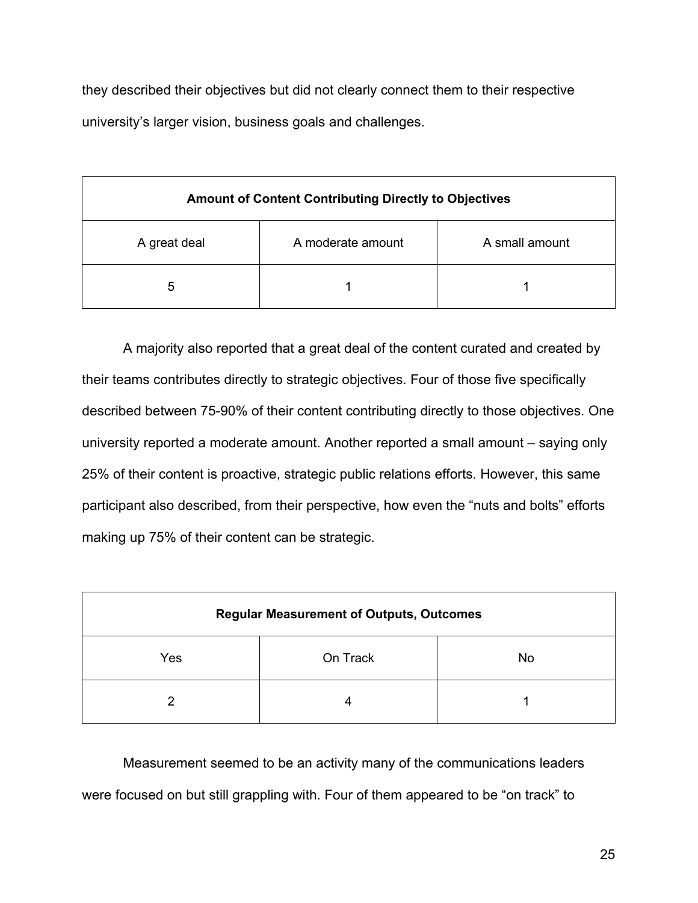they described their objectives but did not clearly connect them to their respective university's larger vision, business goals and challenges.

| <b>Amount of Content Contributing Directly to Objectives</b> |  |  |  |  |
|--------------------------------------------------------------|--|--|--|--|
| A small amount<br>A moderate amount<br>A great deal          |  |  |  |  |
| 5                                                            |  |  |  |  |

A majority also reported that a great deal of the content curated and created by their teams contributes directly to strategic objectives. Four of those five specifically described between 75-90% of their content contributing directly to those objectives. One university reported a moderate amount. Another reported a small amount – saying only 25% of their content is proactive, strategic public relations efforts. However, this same participant also described, from their perspective, how even the "nuts and bolts" efforts making up 75% of their content can be strategic.

| <b>Regular Measurement of Outputs, Outcomes</b> |  |  |  |  |
|-------------------------------------------------|--|--|--|--|
| Yes<br>On Track<br>No                           |  |  |  |  |
| ≘                                               |  |  |  |  |

Measurement seemed to be an activity many of the communications leaders were focused on but still grappling with. Four of them appeared to be "on track" to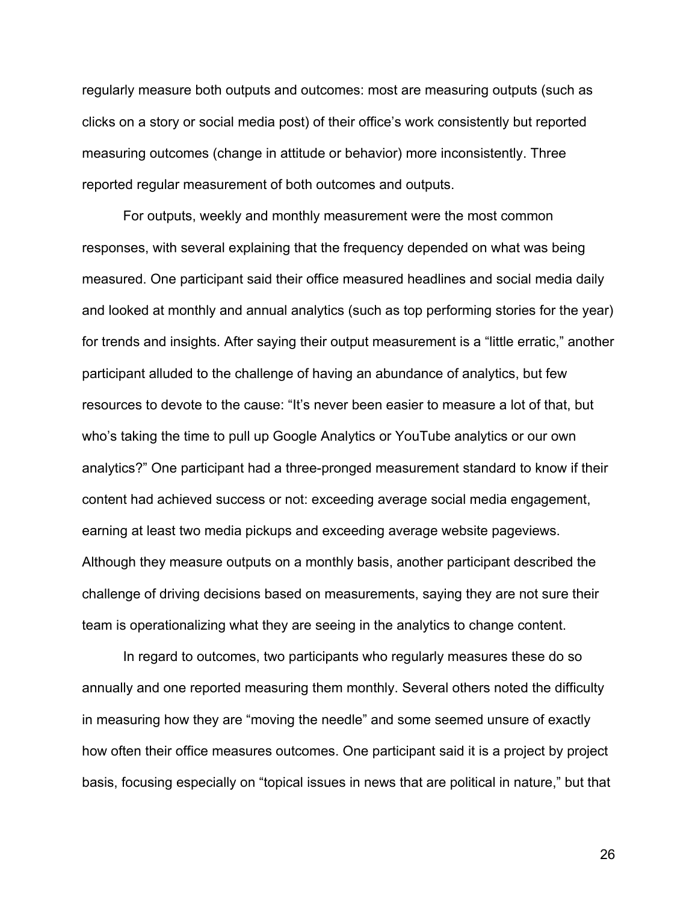regularly measure both outputs and outcomes: most are measuring outputs (such as clicks on a story or social media post) of their office's work consistently but reported measuring outcomes (change in attitude or behavior) more inconsistently. Three reported regular measurement of both outcomes and outputs.

For outputs, weekly and monthly measurement were the most common responses, with several explaining that the frequency depended on what was being measured. One participant said their office measured headlines and social media daily and looked at monthly and annual analytics (such as top performing stories for the year) for trends and insights. After saying their output measurement is a "little erratic," another participant alluded to the challenge of having an abundance of analytics, but few resources to devote to the cause: "It's never been easier to measure a lot of that, but who's taking the time to pull up Google Analytics or YouTube analytics or our own analytics?" One participant had a three-pronged measurement standard to know if their content had achieved success or not: exceeding average social media engagement, earning at least two media pickups and exceeding average website pageviews. Although they measure outputs on a monthly basis, another participant described the challenge of driving decisions based on measurements, saying they are not sure their team is operationalizing what they are seeing in the analytics to change content.

In regard to outcomes, two participants who regularly measures these do so annually and one reported measuring them monthly. Several others noted the difficulty in measuring how they are "moving the needle" and some seemed unsure of exactly how often their office measures outcomes. One participant said it is a project by project basis, focusing especially on "topical issues in news that are political in nature," but that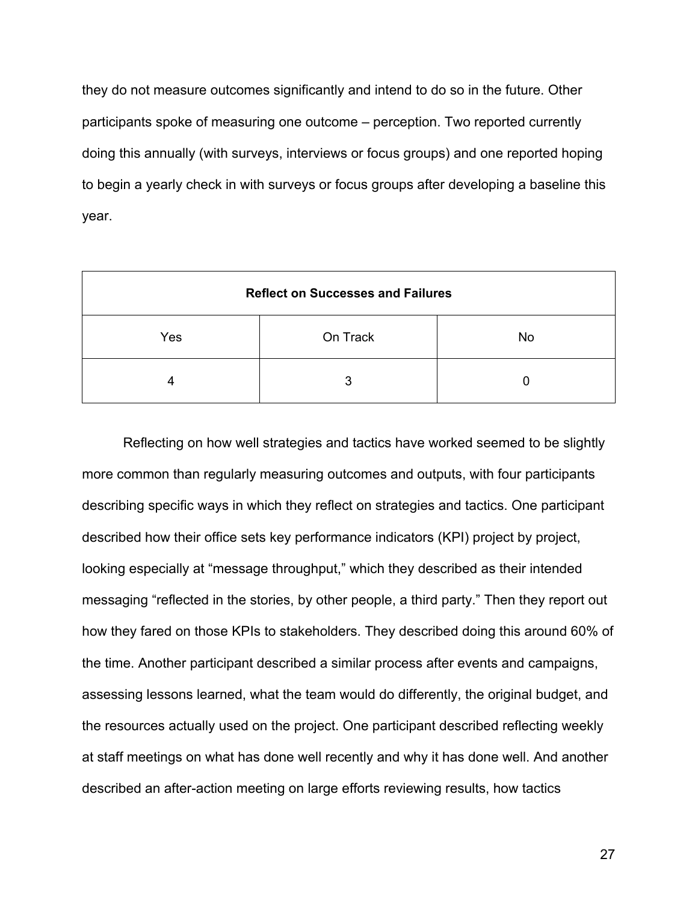they do not measure outcomes significantly and intend to do so in the future. Other participants spoke of measuring one outcome – perception. Two reported currently doing this annually (with surveys, interviews or focus groups) and one reported hoping to begin a yearly check in with surveys or focus groups after developing a baseline this year.

| <b>Reflect on Successes and Failures</b> |   |  |  |  |
|------------------------------------------|---|--|--|--|
| Yes<br>On Track<br><b>No</b>             |   |  |  |  |
|                                          | 3 |  |  |  |

Reflecting on how well strategies and tactics have worked seemed to be slightly more common than regularly measuring outcomes and outputs, with four participants describing specific ways in which they reflect on strategies and tactics. One participant described how their office sets key performance indicators (KPI) project by project, looking especially at "message throughput," which they described as their intended messaging "reflected in the stories, by other people, a third party." Then they report out how they fared on those KPIs to stakeholders. They described doing this around 60% of the time. Another participant described a similar process after events and campaigns, assessing lessons learned, what the team would do differently, the original budget, and the resources actually used on the project. One participant described reflecting weekly at staff meetings on what has done well recently and why it has done well. And another described an after-action meeting on large efforts reviewing results, how tactics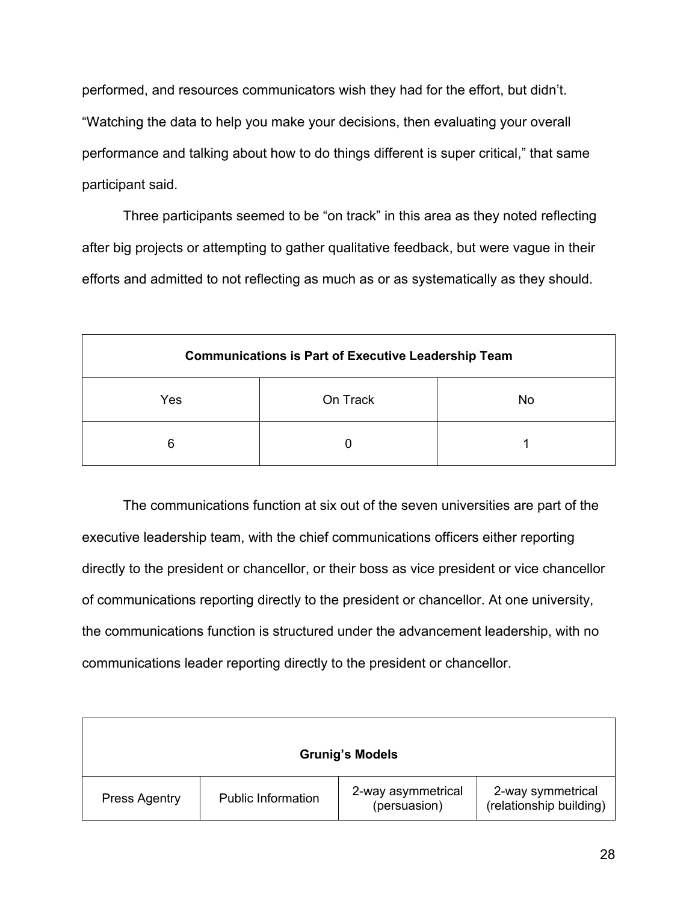performed, and resources communicators wish they had for the effort, but didn't. "Watching the data to help you make your decisions, then evaluating your overall performance and talking about how to do things different is super critical," that same participant said.

Three participants seemed to be "on track" in this area as they noted reflecting after big projects or attempting to gather qualitative feedback, but were vague in their efforts and admitted to not reflecting as much as or as systematically as they should.

| <b>Communications is Part of Executive Leadership Team</b> |  |  |  |  |  |
|------------------------------------------------------------|--|--|--|--|--|
| On Track<br>Yes<br>No                                      |  |  |  |  |  |
| 6                                                          |  |  |  |  |  |

The communications function at six out of the seven universities are part of the executive leadership team, with the chief communications officers either reporting directly to the president or chancellor, or their boss as vice president or vice chancellor of communications reporting directly to the president or chancellor. At one university, the communications function is structured under the advancement leadership, with no communications leader reporting directly to the president or chancellor.

| <b>Grunig's Models</b> |                           |                                    |                                              |  |
|------------------------|---------------------------|------------------------------------|----------------------------------------------|--|
| <b>Press Agentry</b>   | <b>Public Information</b> | 2-way asymmetrical<br>(persuasion) | 2-way symmetrical<br>(relationship building) |  |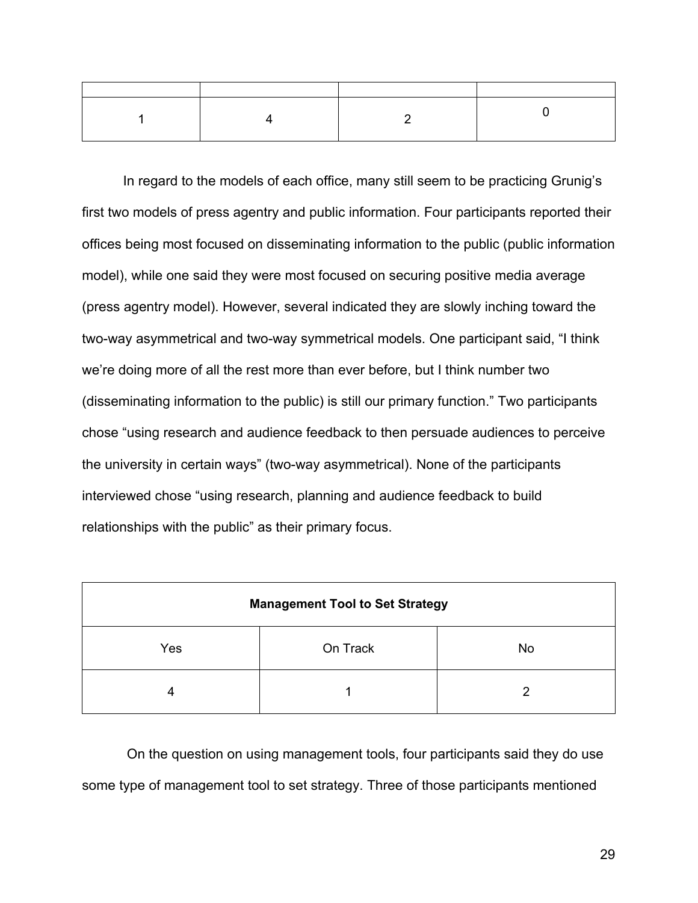In regard to the models of each office, many still seem to be practicing Grunig's first two models of press agentry and public information. Four participants reported their offices being most focused on disseminating information to the public (public information model), while one said they were most focused on securing positive media average (press agentry model). However, several indicated they are slowly inching toward the two-way asymmetrical and two-way symmetrical models. One participant said, "I think we're doing more of all the rest more than ever before, but I think number two (disseminating information to the public) is still our primary function." Two participants chose "using research and audience feedback to then persuade audiences to perceive the university in certain ways" (two-way asymmetrical). None of the participants interviewed chose "using research, planning and audience feedback to build relationships with the public" as their primary focus.

| <b>Management Tool to Set Strategy</b> |  |   |  |  |
|----------------------------------------|--|---|--|--|
| On Track<br>Yes<br>No                  |  |   |  |  |
| 4                                      |  | ⌒ |  |  |

On the question on using management tools, four participants said they do use some type of management tool to set strategy. Three of those participants mentioned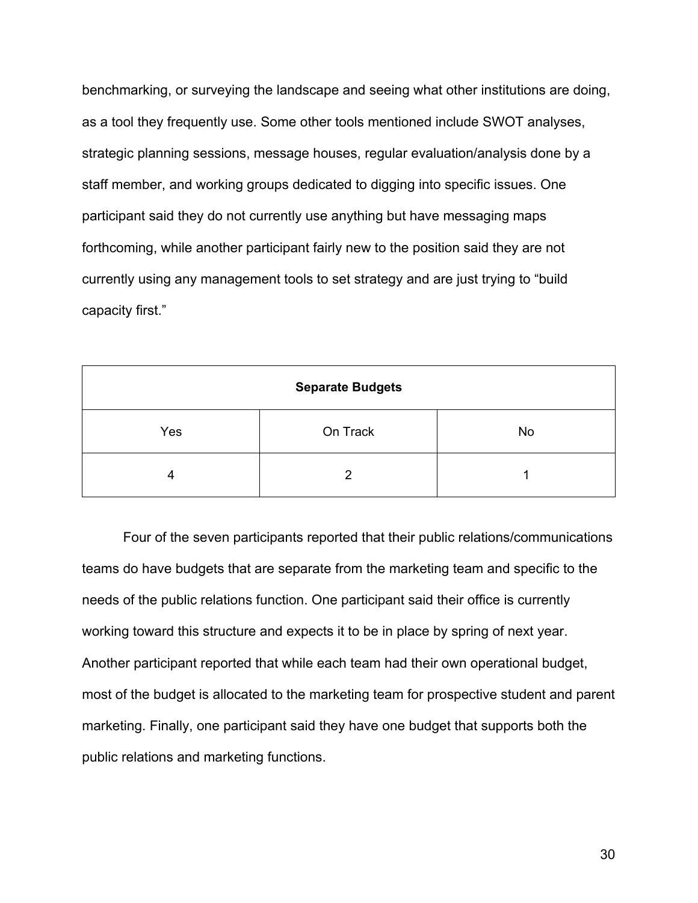benchmarking, or surveying the landscape and seeing what other institutions are doing, as a tool they frequently use. Some other tools mentioned include SWOT analyses, strategic planning sessions, message houses, regular evaluation/analysis done by a staff member, and working groups dedicated to digging into specific issues. One participant said they do not currently use anything but have messaging maps forthcoming, while another participant fairly new to the position said they are not currently using any management tools to set strategy and are just trying to "build capacity first."

| <b>Separate Budgets</b> |   |  |  |  |
|-------------------------|---|--|--|--|
| On Track<br>Yes<br>No   |   |  |  |  |
| 4                       | 2 |  |  |  |

Four of the seven participants reported that their public relations/communications teams do have budgets that are separate from the marketing team and specific to the needs of the public relations function. One participant said their office is currently working toward this structure and expects it to be in place by spring of next year. Another participant reported that while each team had their own operational budget, most of the budget is allocated to the marketing team for prospective student and parent marketing. Finally, one participant said they have one budget that supports both the public relations and marketing functions.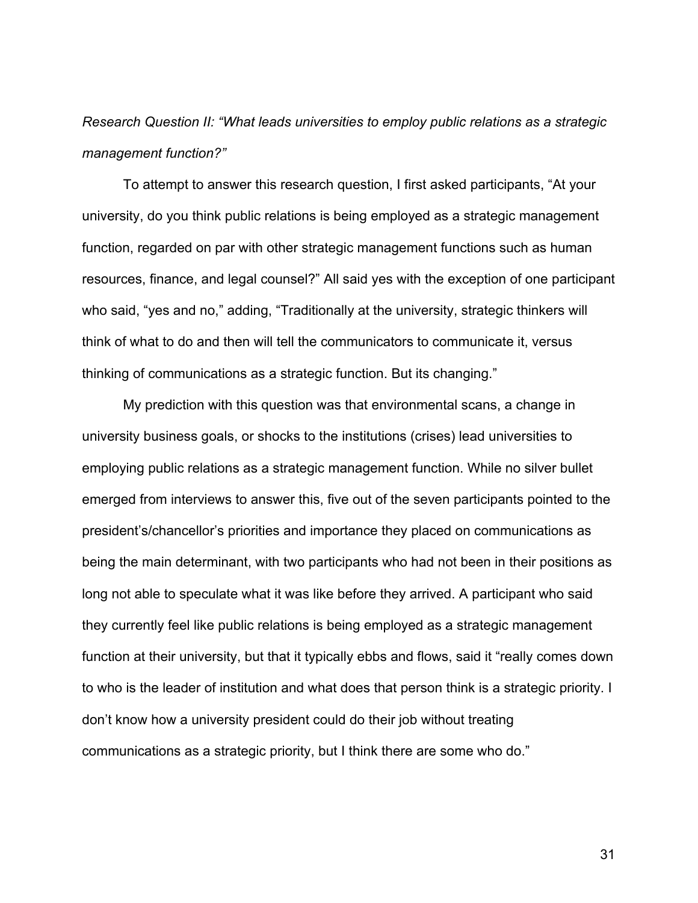*Research Question II: "What leads universities to employ public relations as a strategic management function?"*

To attempt to answer this research question, I first asked participants, "At your university, do you think public relations is being employed as a strategic management function, regarded on par with other strategic management functions such as human resources, finance, and legal counsel?" All said yes with the exception of one participant who said, "yes and no," adding, "Traditionally at the university, strategic thinkers will think of what to do and then will tell the communicators to communicate it, versus thinking of communications as a strategic function. But its changing."

My prediction with this question was that environmental scans, a change in university business goals, or shocks to the institutions (crises) lead universities to employing public relations as a strategic management function. While no silver bullet emerged from interviews to answer this, five out of the seven participants pointed to the president's/chancellor's priorities and importance they placed on communications as being the main determinant, with two participants who had not been in their positions as long not able to speculate what it was like before they arrived. A participant who said they currently feel like public relations is being employed as a strategic management function at their university, but that it typically ebbs and flows, said it "really comes down to who is the leader of institution and what does that person think is a strategic priority. I don't know how a university president could do their job without treating communications as a strategic priority, but I think there are some who do."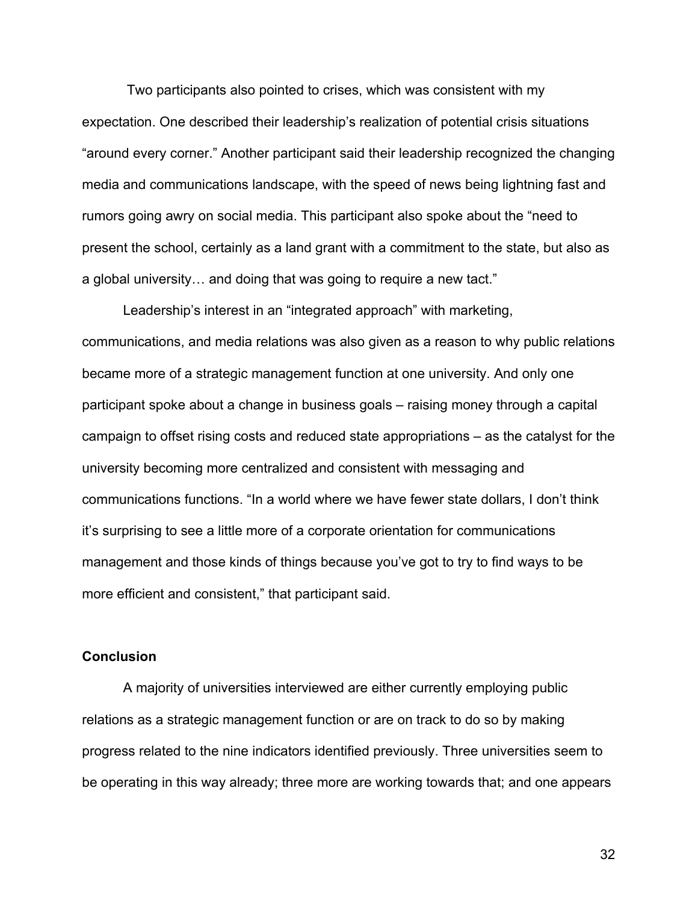Two participants also pointed to crises, which was consistent with my expectation. One described their leadership's realization of potential crisis situations "around every corner." Another participant said their leadership recognized the changing media and communications landscape, with the speed of news being lightning fast and rumors going awry on social media. This participant also spoke about the "need to present the school, certainly as a land grant with a commitment to the state, but also as a global university… and doing that was going to require a new tact."

Leadership's interest in an "integrated approach" with marketing, communications, and media relations was also given as a reason to why public relations became more of a strategic management function at one university. And only one participant spoke about a change in business goals – raising money through a capital campaign to offset rising costs and reduced state appropriations – as the catalyst for the university becoming more centralized and consistent with messaging and communications functions. "In a world where we have fewer state dollars, I don't think it's surprising to see a little more of a corporate orientation for communications management and those kinds of things because you've got to try to find ways to be more efficient and consistent," that participant said.

### **Conclusion**

A majority of universities interviewed are either currently employing public relations as a strategic management function or are on track to do so by making progress related to the nine indicators identified previously. Three universities seem to be operating in this way already; three more are working towards that; and one appears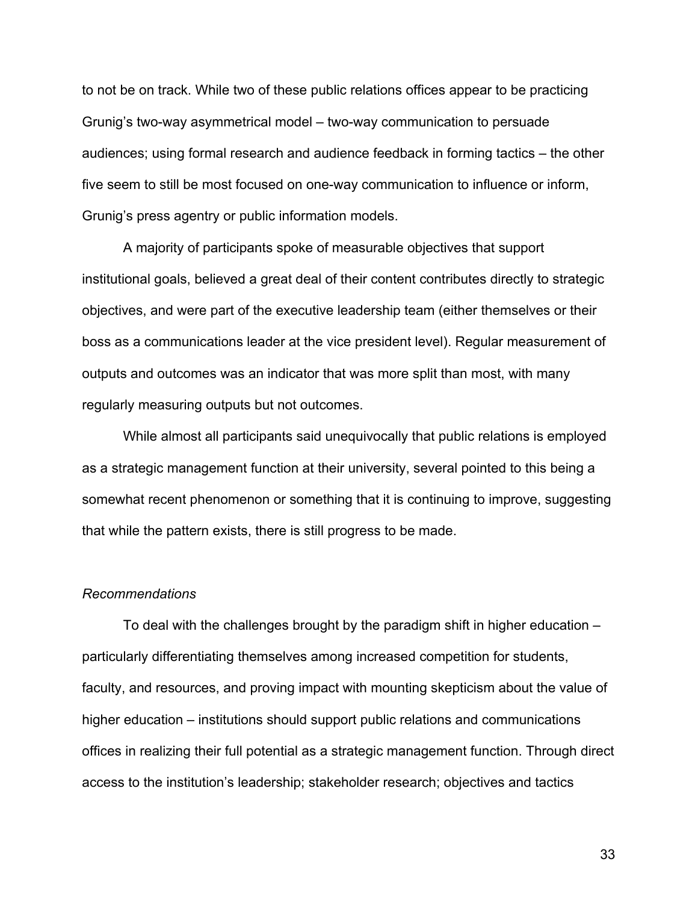to not be on track. While two of these public relations offices appear to be practicing Grunig's two-way asymmetrical model – two-way communication to persuade audiences; using formal research and audience feedback in forming tactics – the other five seem to still be most focused on one-way communication to influence or inform, Grunig's press agentry or public information models.

A majority of participants spoke of measurable objectives that support institutional goals, believed a great deal of their content contributes directly to strategic objectives, and were part of the executive leadership team (either themselves or their boss as a communications leader at the vice president level). Regular measurement of outputs and outcomes was an indicator that was more split than most, with many regularly measuring outputs but not outcomes.

While almost all participants said unequivocally that public relations is employed as a strategic management function at their university, several pointed to this being a somewhat recent phenomenon or something that it is continuing to improve, suggesting that while the pattern exists, there is still progress to be made.

#### *Recommendations*

To deal with the challenges brought by the paradigm shift in higher education – particularly differentiating themselves among increased competition for students, faculty, and resources, and proving impact with mounting skepticism about the value of higher education – institutions should support public relations and communications offices in realizing their full potential as a strategic management function. Through direct access to the institution's leadership; stakeholder research; objectives and tactics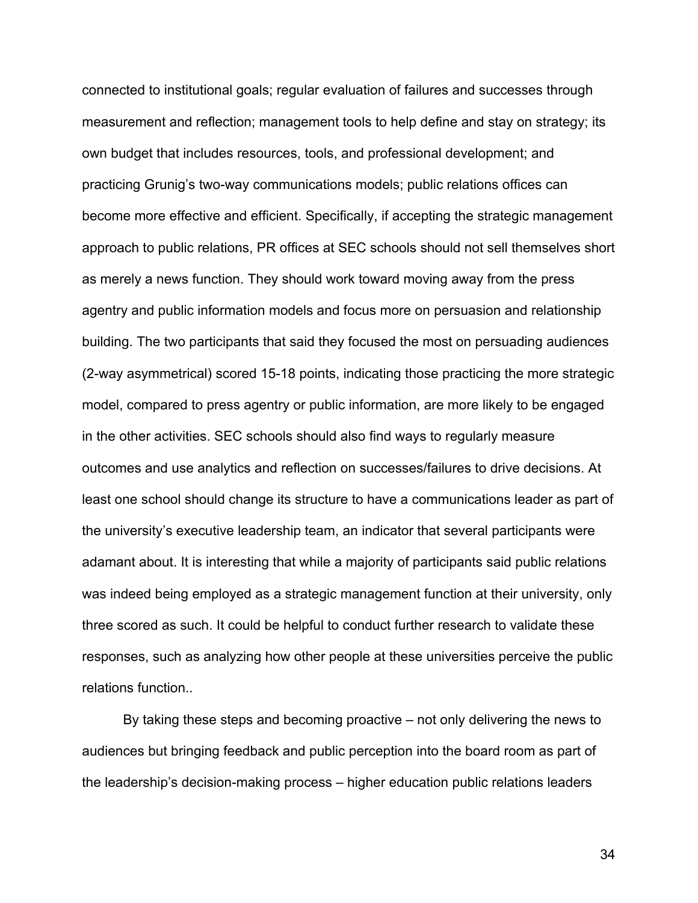connected to institutional goals; regular evaluation of failures and successes through measurement and reflection; management tools to help define and stay on strategy; its own budget that includes resources, tools, and professional development; and practicing Grunig's two-way communications models; public relations offices can become more effective and efficient. Specifically, if accepting the strategic management approach to public relations, PR offices at SEC schools should not sell themselves short as merely a news function. They should work toward moving away from the press agentry and public information models and focus more on persuasion and relationship building. The two participants that said they focused the most on persuading audiences (2-way asymmetrical) scored 15-18 points, indicating those practicing the more strategic model, compared to press agentry or public information, are more likely to be engaged in the other activities. SEC schools should also find ways to regularly measure outcomes and use analytics and reflection on successes/failures to drive decisions. At least one school should change its structure to have a communications leader as part of the university's executive leadership team, an indicator that several participants were adamant about. It is interesting that while a majority of participants said public relations was indeed being employed as a strategic management function at their university, only three scored as such. It could be helpful to conduct further research to validate these responses, such as analyzing how other people at these universities perceive the public relations function..

By taking these steps and becoming proactive – not only delivering the news to audiences but bringing feedback and public perception into the board room as part of the leadership's decision-making process – higher education public relations leaders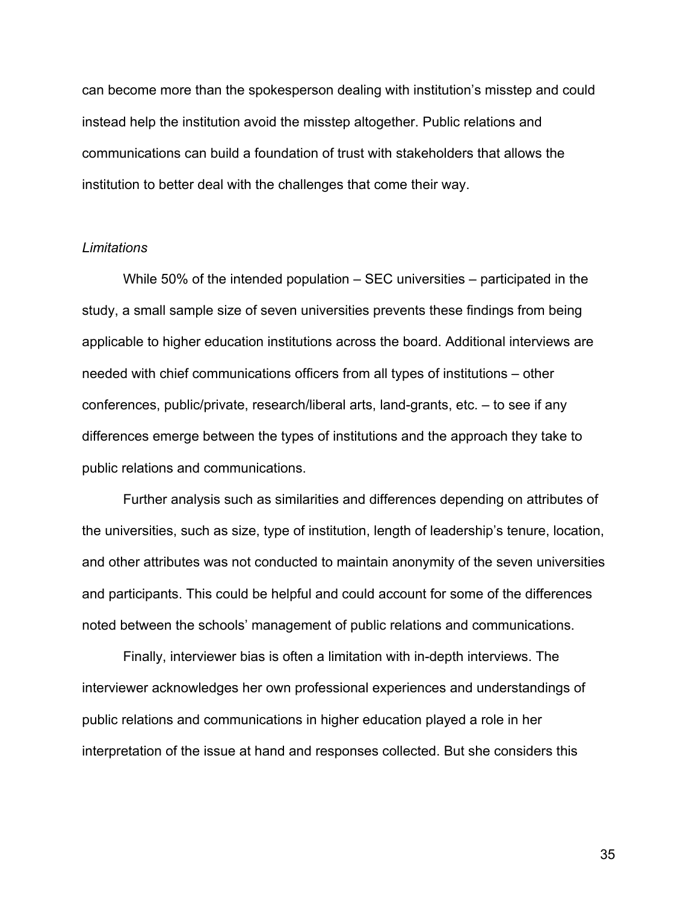can become more than the spokesperson dealing with institution's misstep and could instead help the institution avoid the misstep altogether. Public relations and communications can build a foundation of trust with stakeholders that allows the institution to better deal with the challenges that come their way.

### *Limitations*

While 50% of the intended population – SEC universities – participated in the study, a small sample size of seven universities prevents these findings from being applicable to higher education institutions across the board. Additional interviews are needed with chief communications officers from all types of institutions – other conferences, public/private, research/liberal arts, land-grants, etc. – to see if any differences emerge between the types of institutions and the approach they take to public relations and communications.

Further analysis such as similarities and differences depending on attributes of the universities, such as size, type of institution, length of leadership's tenure, location, and other attributes was not conducted to maintain anonymity of the seven universities and participants. This could be helpful and could account for some of the differences noted between the schools' management of public relations and communications.

Finally, interviewer bias is often a limitation with in-depth interviews. The interviewer acknowledges her own professional experiences and understandings of public relations and communications in higher education played a role in her interpretation of the issue at hand and responses collected. But she considers this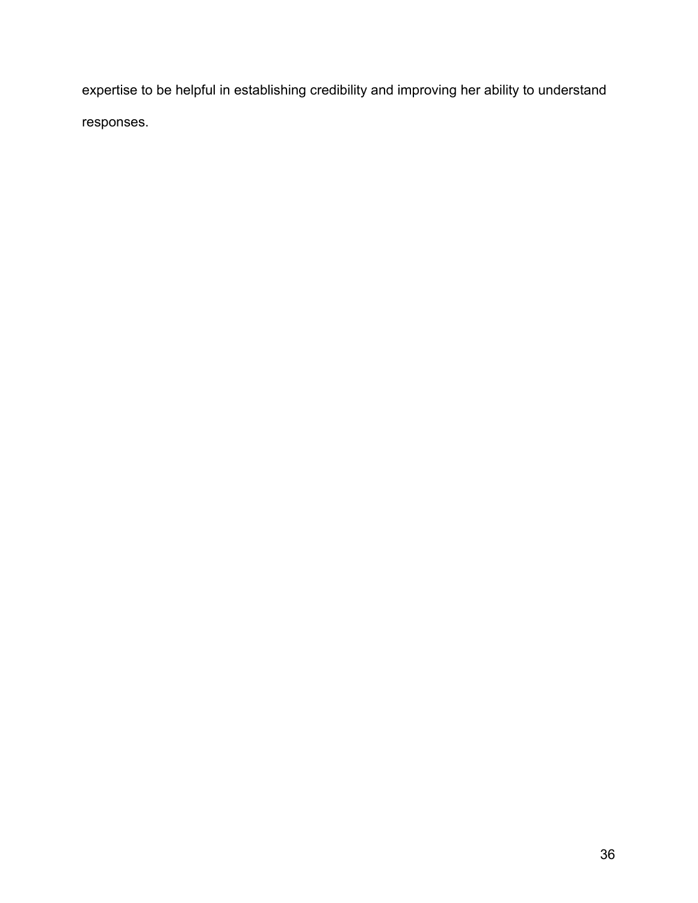expertise to be helpful in establishing credibility and improving her ability to understand responses.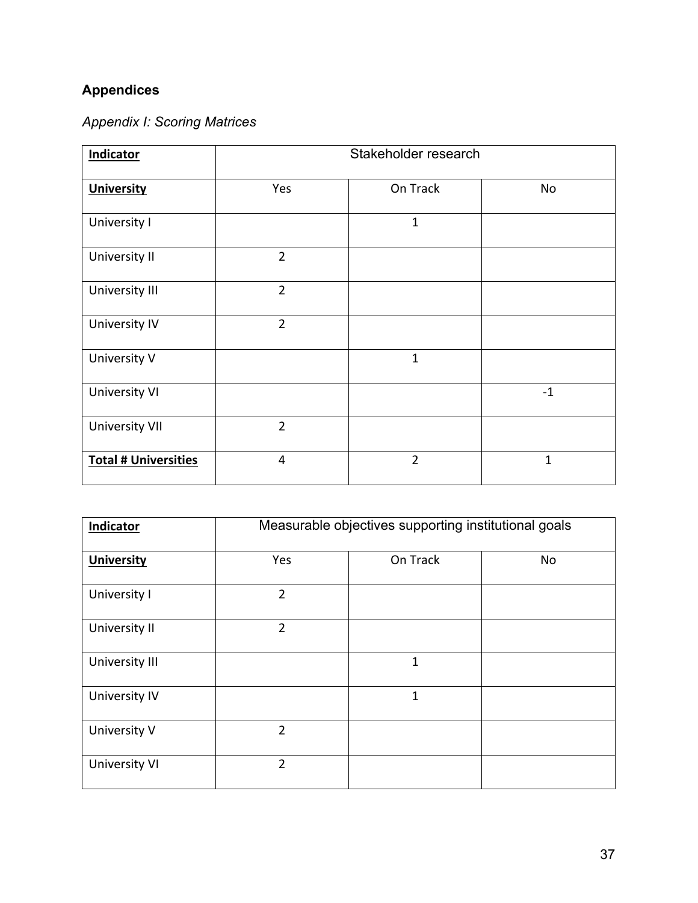# **Appendices**

| <b>Appendix I: Scoring Matrices</b> |  |  |  |  |
|-------------------------------------|--|--|--|--|
|-------------------------------------|--|--|--|--|

| <b>Indicator</b>            | Stakeholder research |                |              |
|-----------------------------|----------------------|----------------|--------------|
| <b>University</b>           | Yes                  | On Track       | No           |
| University I                |                      | $\mathbf{1}$   |              |
| University II               | $\overline{2}$       |                |              |
| University III              | $\overline{2}$       |                |              |
| <b>University IV</b>        | $\overline{2}$       |                |              |
| University V                |                      | $\mathbf{1}$   |              |
| <b>University VI</b>        |                      |                | $-1$         |
| <b>University VII</b>       | $\overline{2}$       |                |              |
| <b>Total # Universities</b> | 4                    | $\overline{2}$ | $\mathbf{1}$ |

| Indicator            | Measurable objectives supporting institutional goals |              |    |
|----------------------|------------------------------------------------------|--------------|----|
| <b>University</b>    | Yes                                                  | On Track     | No |
| University I         | $\overline{2}$                                       |              |    |
| University II        | $\overline{2}$                                       |              |    |
| University III       |                                                      | 1            |    |
| University IV        |                                                      | $\mathbf{1}$ |    |
| University V         | $\overline{2}$                                       |              |    |
| <b>University VI</b> | $\overline{2}$                                       |              |    |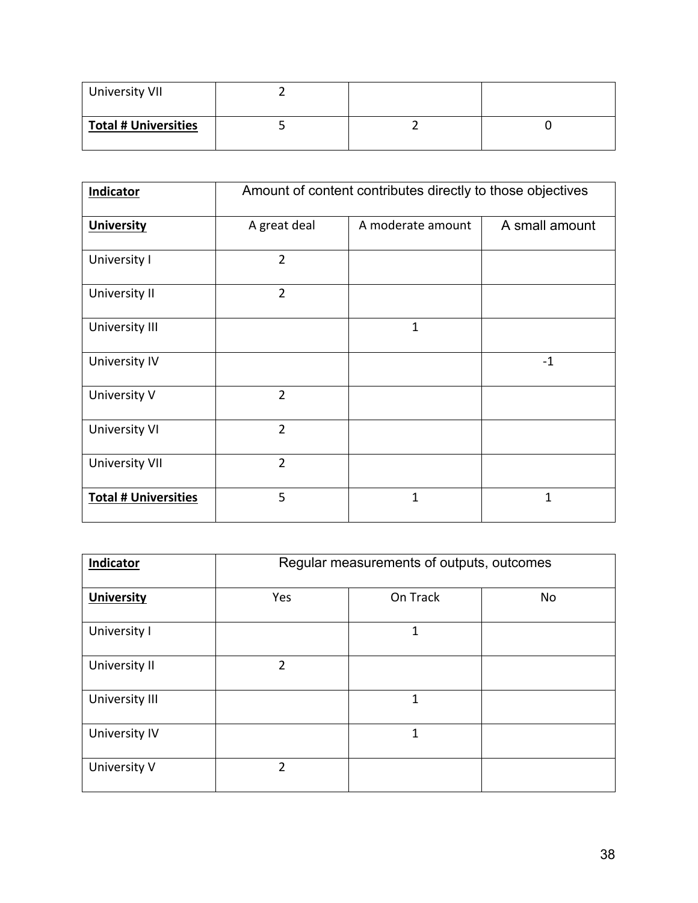| University VII              |  |  |
|-----------------------------|--|--|
| <b>Total # Universities</b> |  |  |

| Indicator                   | Amount of content contributes directly to those objectives |                   |                |
|-----------------------------|------------------------------------------------------------|-------------------|----------------|
| <b>University</b>           | A great deal                                               | A moderate amount | A small amount |
| University I                | $\overline{2}$                                             |                   |                |
| University II               | $\overline{2}$                                             |                   |                |
| University III              |                                                            | $\mathbf{1}$      |                |
| University IV               |                                                            |                   | $-1$           |
| University V                | $\overline{2}$                                             |                   |                |
| <b>University VI</b>        | $\overline{2}$                                             |                   |                |
| <b>University VII</b>       | $\overline{2}$                                             |                   |                |
| <b>Total # Universities</b> | 5                                                          | 1                 | 1              |

| Indicator            | Regular measurements of outputs, outcomes |          |    |
|----------------------|-------------------------------------------|----------|----|
| <b>University</b>    | Yes                                       | On Track | No |
| University I         |                                           | 1        |    |
| University II        | $\mathfrak{D}$                            |          |    |
| University III       |                                           | 1        |    |
| <b>University IV</b> |                                           | 1        |    |
| University V         | $\mathfrak{p}$                            |          |    |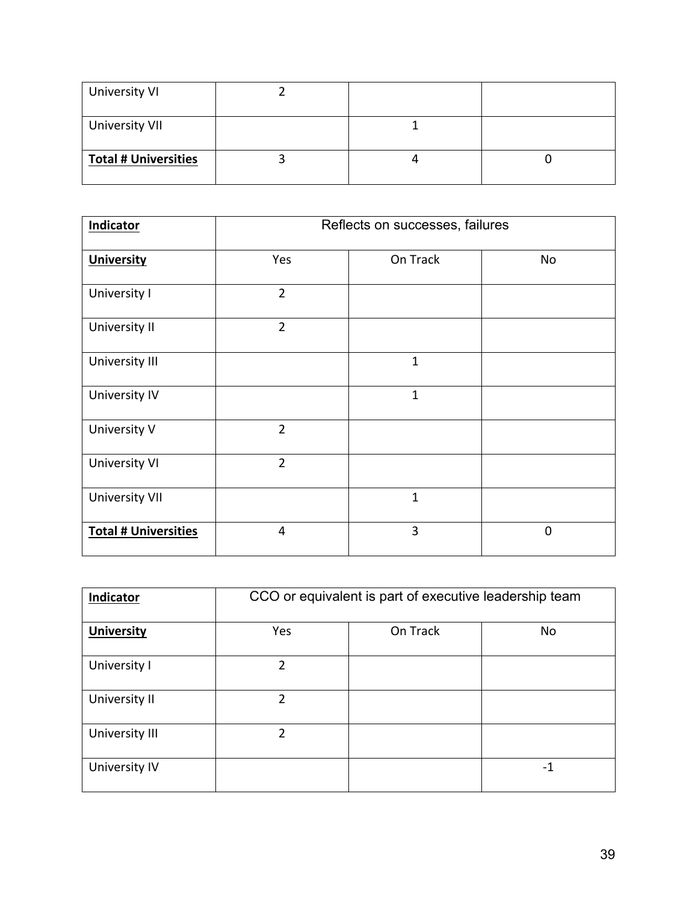| University VI               |  |  |
|-----------------------------|--|--|
| <b>University VII</b>       |  |  |
| <b>Total # Universities</b> |  |  |

| <b>Indicator</b>            | Reflects on successes, failures |              |                |
|-----------------------------|---------------------------------|--------------|----------------|
| <b>University</b>           | Yes                             | On Track     | No             |
| University I                | $\overline{2}$                  |              |                |
| University II               | $\overline{2}$                  |              |                |
| University III              |                                 | $\mathbf 1$  |                |
| University IV               |                                 | $\mathbf{1}$ |                |
| University V                | $\overline{2}$                  |              |                |
| <b>University VI</b>        | $\overline{2}$                  |              |                |
| <b>University VII</b>       |                                 | $\mathbf{1}$ |                |
| <b>Total # Universities</b> | 4                               | 3            | $\overline{0}$ |

| Indicator         | CCO or equivalent is part of executive leadership team |          |    |
|-------------------|--------------------------------------------------------|----------|----|
| <b>University</b> | Yes                                                    | On Track | No |
| University I      | 2                                                      |          |    |
| University II     | $\overline{2}$                                         |          |    |
| University III    | 2                                                      |          |    |
| University IV     |                                                        |          | -1 |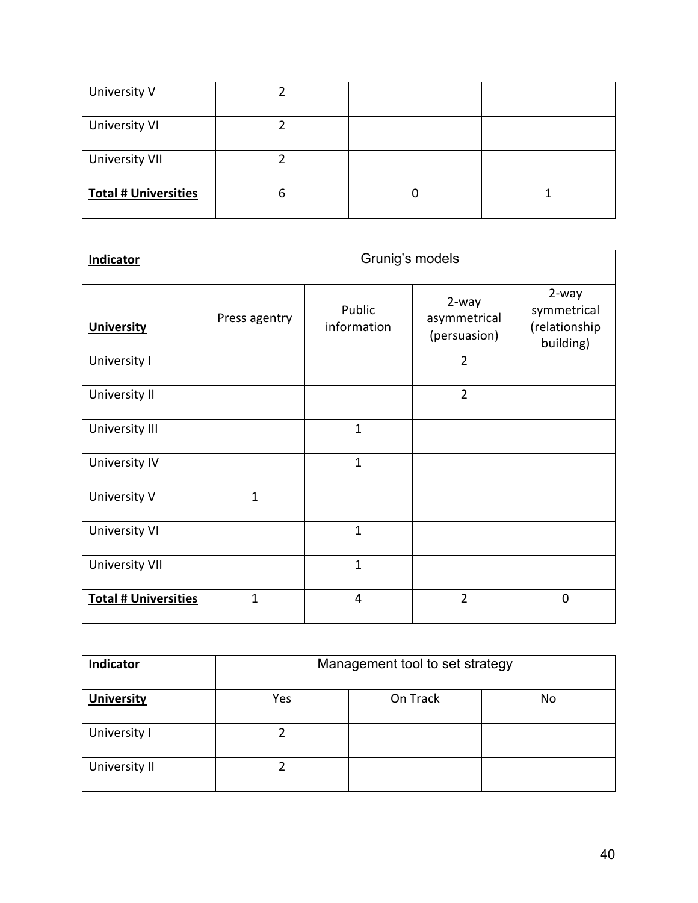| University V                |   |  |
|-----------------------------|---|--|
| University VI               |   |  |
| <b>University VII</b>       |   |  |
| <b>Total # Universities</b> | O |  |

| Indicator                   | Grunig's models |                       |                                       |                                                    |
|-----------------------------|-----------------|-----------------------|---------------------------------------|----------------------------------------------------|
| <b>University</b>           | Press agentry   | Public<br>information | 2-way<br>asymmetrical<br>(persuasion) | 2-way<br>symmetrical<br>(relationship<br>building) |
| University I                |                 |                       | $\overline{2}$                        |                                                    |
| University II               |                 |                       | $\overline{2}$                        |                                                    |
| University III              |                 | $\mathbf{1}$          |                                       |                                                    |
| University IV               |                 | $\mathbf{1}$          |                                       |                                                    |
| University V                | $\mathbf{1}$    |                       |                                       |                                                    |
| <b>University VI</b>        |                 | $\mathbf{1}$          |                                       |                                                    |
| <b>University VII</b>       |                 | $\mathbf{1}$          |                                       |                                                    |
| <b>Total # Universities</b> | $\mathbf{1}$    | $\overline{4}$        | $\overline{2}$                        | 0                                                  |

| Indicator         | Management tool to set strategy |          |    |  |
|-------------------|---------------------------------|----------|----|--|
| <b>University</b> | Yes                             | On Track | No |  |
| University I      |                                 |          |    |  |
| University II     |                                 |          |    |  |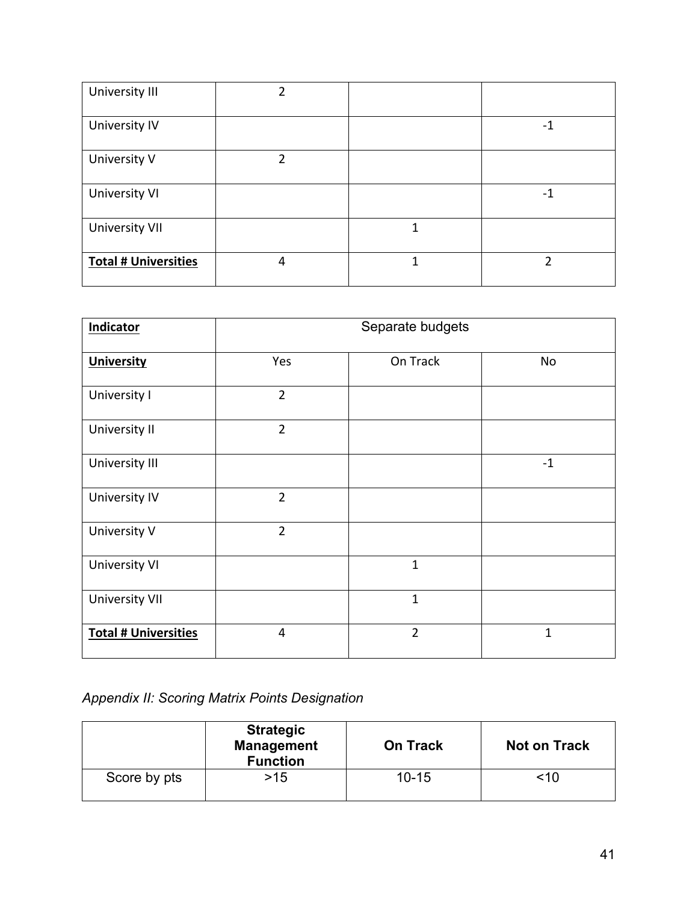| University III              | 2 |   |                |
|-----------------------------|---|---|----------------|
| University IV               |   |   | -1             |
| University V                | າ |   |                |
| <b>University VI</b>        |   |   | -1             |
| <b>University VII</b>       |   | 1 |                |
| <b>Total # Universities</b> | 4 | 1 | $\mathfrak{p}$ |

| <b>Indicator</b>            | Separate budgets |                |      |  |
|-----------------------------|------------------|----------------|------|--|
| <b>University</b>           | Yes              | On Track       | No   |  |
| University I                | $\overline{2}$   |                |      |  |
| University II               | $\overline{2}$   |                |      |  |
| University III              |                  |                | $-1$ |  |
| <b>University IV</b>        | $\overline{2}$   |                |      |  |
| University V                | $\overline{2}$   |                |      |  |
| <b>University VI</b>        |                  | $\mathbf{1}$   |      |  |
| <b>University VII</b>       |                  | $\mathbf{1}$   |      |  |
| <b>Total # Universities</b> | $\overline{4}$   | $\overline{2}$ | 1    |  |

*Appendix II: Scoring Matrix Points Designation*

|              | <b>Strategic</b><br><b>Management</b><br><b>Function</b> | <b>On Track</b> | <b>Not on Track</b> |  |
|--------------|----------------------------------------------------------|-----------------|---------------------|--|
| Score by pts | $>15$                                                    | $10 - 15$       | <10                 |  |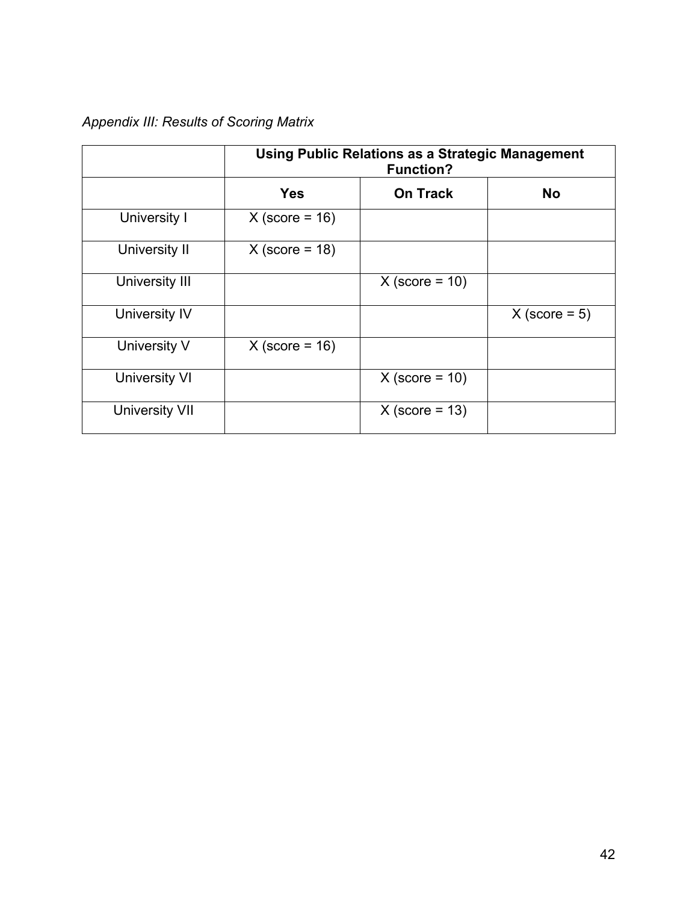# *Appendix III: Results of Scoring Matrix*

|                       | <b>Using Public Relations as a Strategic Management</b><br><b>Function?</b> |                  |                 |
|-----------------------|-----------------------------------------------------------------------------|------------------|-----------------|
|                       | <b>Yes</b>                                                                  | <b>On Track</b>  | <b>No</b>       |
| University I          | $X$ (score = 16)                                                            |                  |                 |
| University II         | $X$ (score = 18)                                                            |                  |                 |
| University III        |                                                                             | $X$ (score = 10) |                 |
| University IV         |                                                                             |                  | $X$ (score = 5) |
| University V          | $X$ (score = 16)                                                            |                  |                 |
| <b>University VI</b>  |                                                                             | $X$ (score = 10) |                 |
| <b>University VII</b> |                                                                             | $X$ (score = 13) |                 |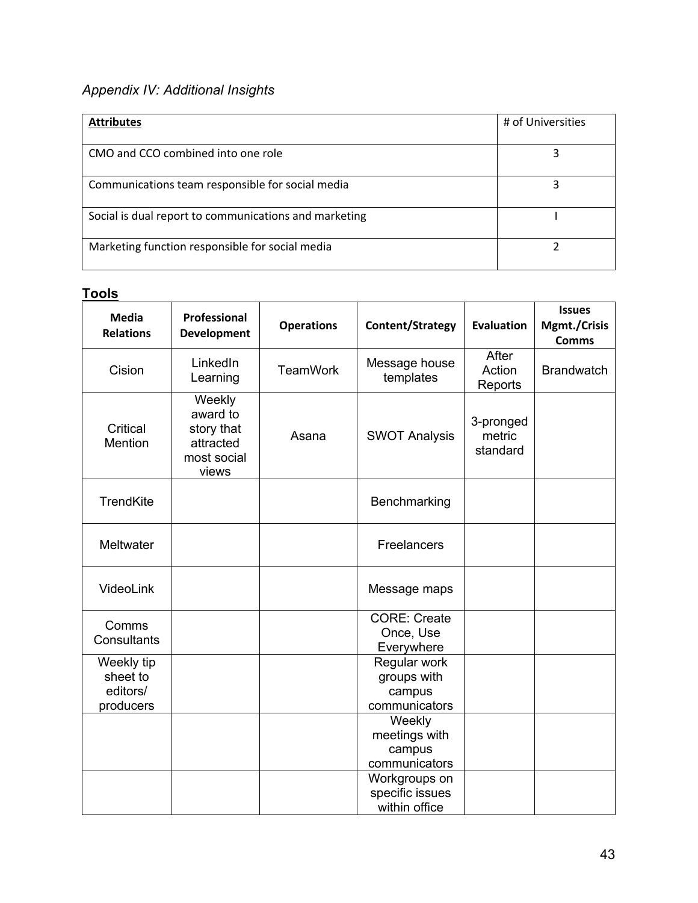# *Appendix IV: Additional Insights*

| <b>Attributes</b>                                     | # of Universities |
|-------------------------------------------------------|-------------------|
| CMO and CCO combined into one role                    |                   |
| Communications team responsible for social media      |                   |
| Social is dual report to communications and marketing |                   |
| Marketing function responsible for social media       |                   |

## **Tools**

| <b>Media</b><br><b>Relations</b>                | Professional<br><b>Development</b>                                    | <b>Operations</b> | Content/Strategy                                       | <b>Evaluation</b>               | <b>Issues</b><br>Mgmt./Crisis<br><b>Comms</b> |
|-------------------------------------------------|-----------------------------------------------------------------------|-------------------|--------------------------------------------------------|---------------------------------|-----------------------------------------------|
| Cision                                          | LinkedIn<br>Learning                                                  | <b>TeamWork</b>   | Message house<br>templates                             | After<br>Action<br>Reports      | <b>Brandwatch</b>                             |
| Critical<br>Mention                             | Weekly<br>award to<br>story that<br>attracted<br>most social<br>views | Asana             | <b>SWOT Analysis</b>                                   | 3-pronged<br>metric<br>standard |                                               |
| <b>TrendKite</b>                                |                                                                       |                   | Benchmarking                                           |                                 |                                               |
| Meltwater                                       |                                                                       |                   | Freelancers                                            |                                 |                                               |
| VideoLink                                       |                                                                       |                   | Message maps                                           |                                 |                                               |
| Comms<br>Consultants                            |                                                                       |                   | <b>CORE: Create</b><br>Once, Use<br>Everywhere         |                                 |                                               |
| Weekly tip<br>sheet to<br>editors/<br>producers |                                                                       |                   | Regular work<br>groups with<br>campus<br>communicators |                                 |                                               |
|                                                 |                                                                       |                   | Weekly<br>meetings with<br>campus<br>communicators     |                                 |                                               |
|                                                 |                                                                       |                   | Workgroups on<br>specific issues<br>within office      |                                 |                                               |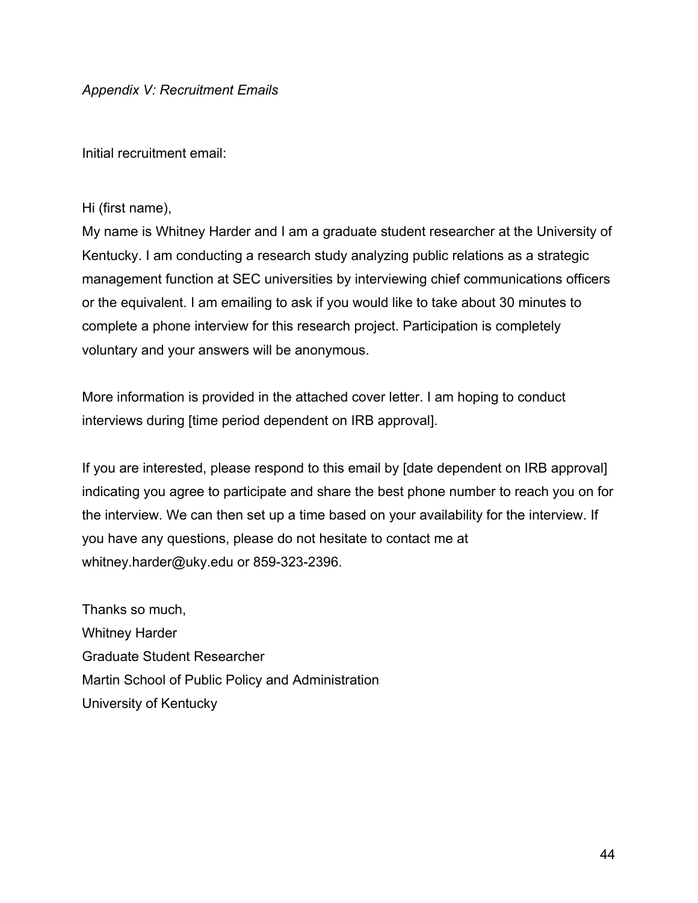Initial recruitment email:

### Hi (first name),

My name is Whitney Harder and I am a graduate student researcher at the University of Kentucky. I am conducting a research study analyzing public relations as a strategic management function at SEC universities by interviewing chief communications officers or the equivalent. I am emailing to ask if you would like to take about 30 minutes to complete a phone interview for this research project. Participation is completely voluntary and your answers will be anonymous.

More information is provided in the attached cover letter. I am hoping to conduct interviews during [time period dependent on IRB approval].

If you are interested, please respond to this email by [date dependent on IRB approval] indicating you agree to participate and share the best phone number to reach you on for the interview. We can then set up a time based on your availability for the interview. If you have any questions, please do not hesitate to contact me at whitney.harder@uky.edu or 859-323-2396.

Thanks so much, Whitney Harder Graduate Student Researcher Martin School of Public Policy and Administration University of Kentucky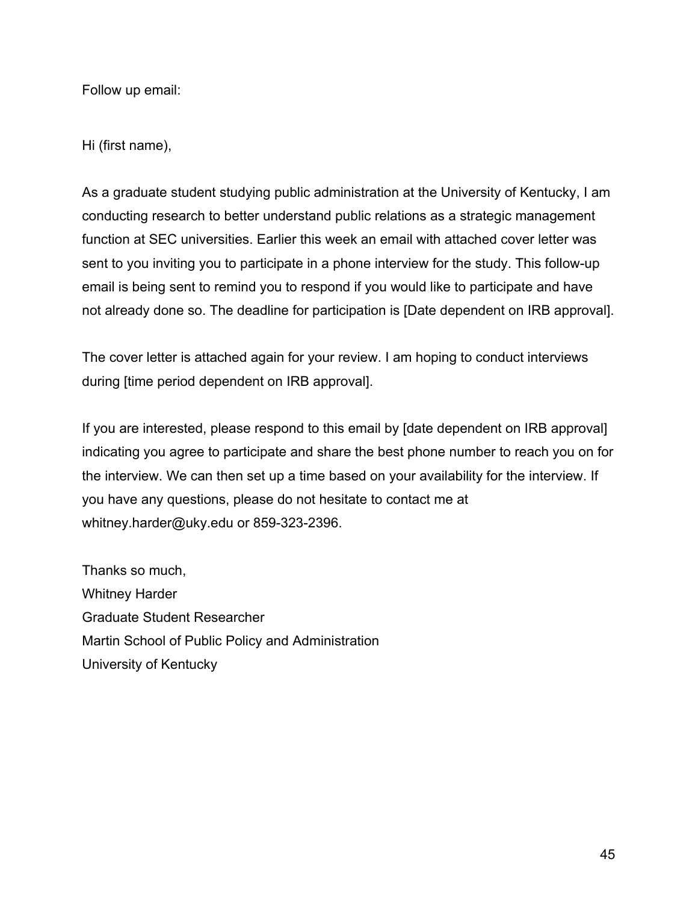Follow up email:

Hi (first name),

As a graduate student studying public administration at the University of Kentucky, I am conducting research to better understand public relations as a strategic management function at SEC universities. Earlier this week an email with attached cover letter was sent to you inviting you to participate in a phone interview for the study. This follow-up email is being sent to remind you to respond if you would like to participate and have not already done so. The deadline for participation is [Date dependent on IRB approval].

The cover letter is attached again for your review. I am hoping to conduct interviews during [time period dependent on IRB approval].

If you are interested, please respond to this email by [date dependent on IRB approval] indicating you agree to participate and share the best phone number to reach you on for the interview. We can then set up a time based on your availability for the interview. If you have any questions, please do not hesitate to contact me at whitney.harder@uky.edu or 859-323-2396.

Thanks so much, Whitney Harder Graduate Student Researcher Martin School of Public Policy and Administration University of Kentucky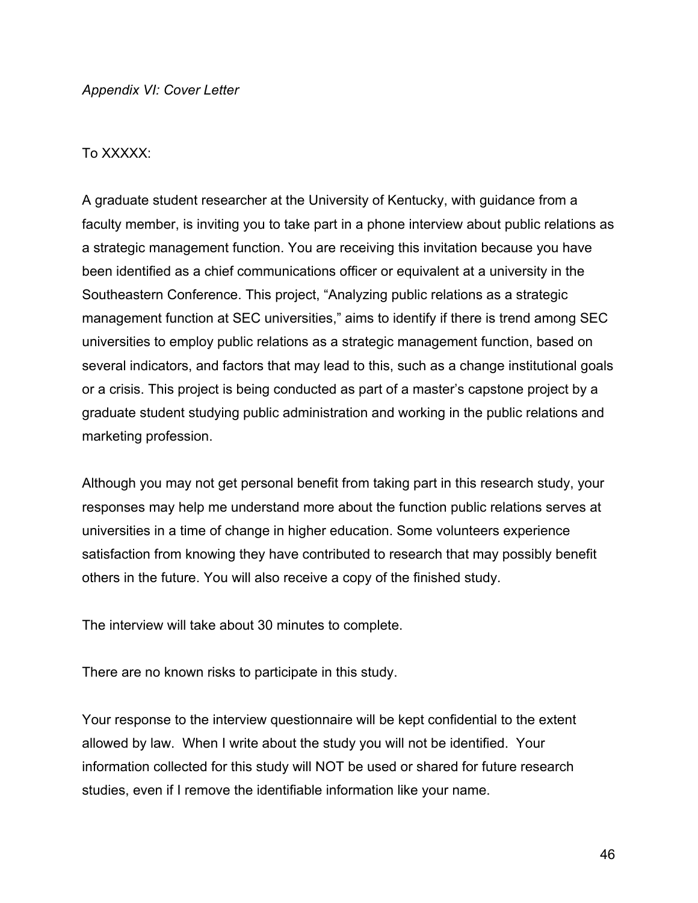### To XXXXX:

A graduate student researcher at the University of Kentucky, with guidance from a faculty member, is inviting you to take part in a phone interview about public relations as a strategic management function. You are receiving this invitation because you have been identified as a chief communications officer or equivalent at a university in the Southeastern Conference. This project, "Analyzing public relations as a strategic management function at SEC universities," aims to identify if there is trend among SEC universities to employ public relations as a strategic management function, based on several indicators, and factors that may lead to this, such as a change institutional goals or a crisis. This project is being conducted as part of a master's capstone project by a graduate student studying public administration and working in the public relations and marketing profession.

Although you may not get personal benefit from taking part in this research study, your responses may help me understand more about the function public relations serves at universities in a time of change in higher education. Some volunteers experience satisfaction from knowing they have contributed to research that may possibly benefit others in the future. You will also receive a copy of the finished study.

The interview will take about 30 minutes to complete.

There are no known risks to participate in this study.

Your response to the interview questionnaire will be kept confidential to the extent allowed by law. When I write about the study you will not be identified. Your information collected for this study will NOT be used or shared for future research studies, even if I remove the identifiable information like your name.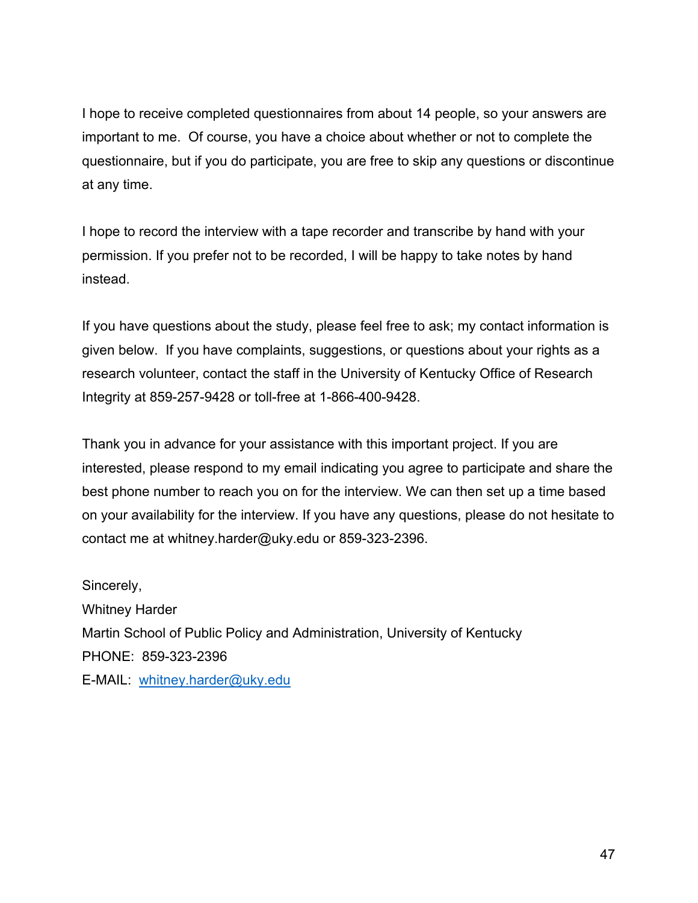I hope to receive completed questionnaires from about 14 people, so your answers are important to me. Of course, you have a choice about whether or not to complete the questionnaire, but if you do participate, you are free to skip any questions or discontinue at any time.

I hope to record the interview with a tape recorder and transcribe by hand with your permission. If you prefer not to be recorded, I will be happy to take notes by hand instead.

If you have questions about the study, please feel free to ask; my contact information is given below. If you have complaints, suggestions, or questions about your rights as a research volunteer, contact the staff in the University of Kentucky Office of Research Integrity at 859-257-9428 or toll-free at 1-866-400-9428.

Thank you in advance for your assistance with this important project. If you are interested, please respond to my email indicating you agree to participate and share the best phone number to reach you on for the interview. We can then set up a time based on your availability for the interview. If you have any questions, please do not hesitate to contact me at whitney.harder@uky.edu or 859-323-2396.

Sincerely, Whitney Harder Martin School of Public Policy and Administration, University of Kentucky PHONE: 859-323-2396 E-MAIL: whitney.harder@uky.edu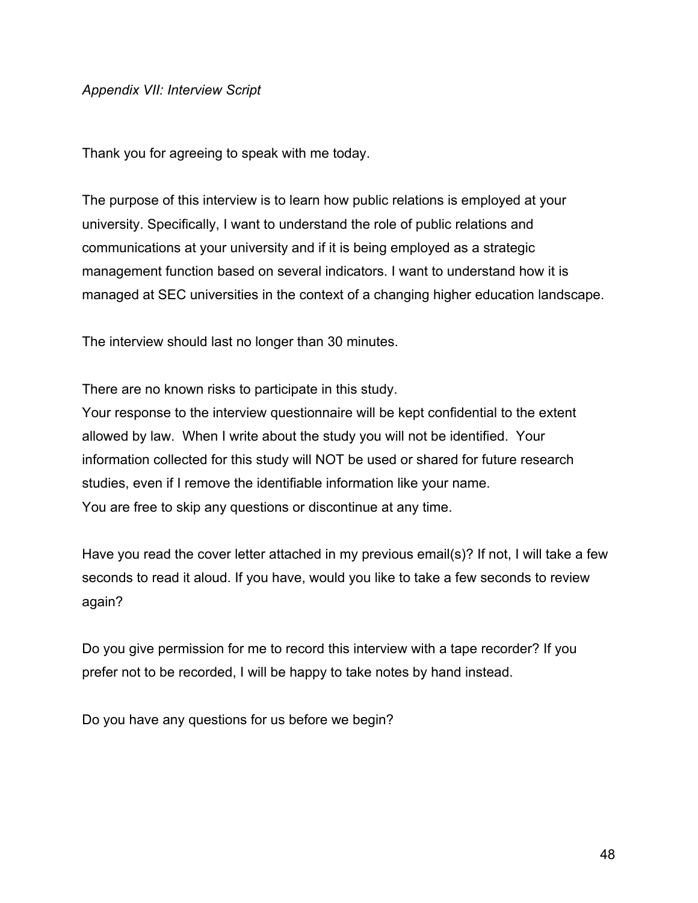*Appendix VII: Interview Script*

Thank you for agreeing to speak with me today.

The purpose of this interview is to learn how public relations is employed at your university. Specifically, I want to understand the role of public relations and communications at your university and if it is being employed as a strategic management function based on several indicators. I want to understand how it is managed at SEC universities in the context of a changing higher education landscape.

The interview should last no longer than 30 minutes.

There are no known risks to participate in this study.

Your response to the interview questionnaire will be kept confidential to the extent allowed by law. When I write about the study you will not be identified. Your information collected for this study will NOT be used or shared for future research studies, even if I remove the identifiable information like your name. You are free to skip any questions or discontinue at any time.

Have you read the cover letter attached in my previous email(s)? If not, I will take a few seconds to read it aloud. If you have, would you like to take a few seconds to review again?

Do you give permission for me to record this interview with a tape recorder? If you prefer not to be recorded, I will be happy to take notes by hand instead.

Do you have any questions for us before we begin?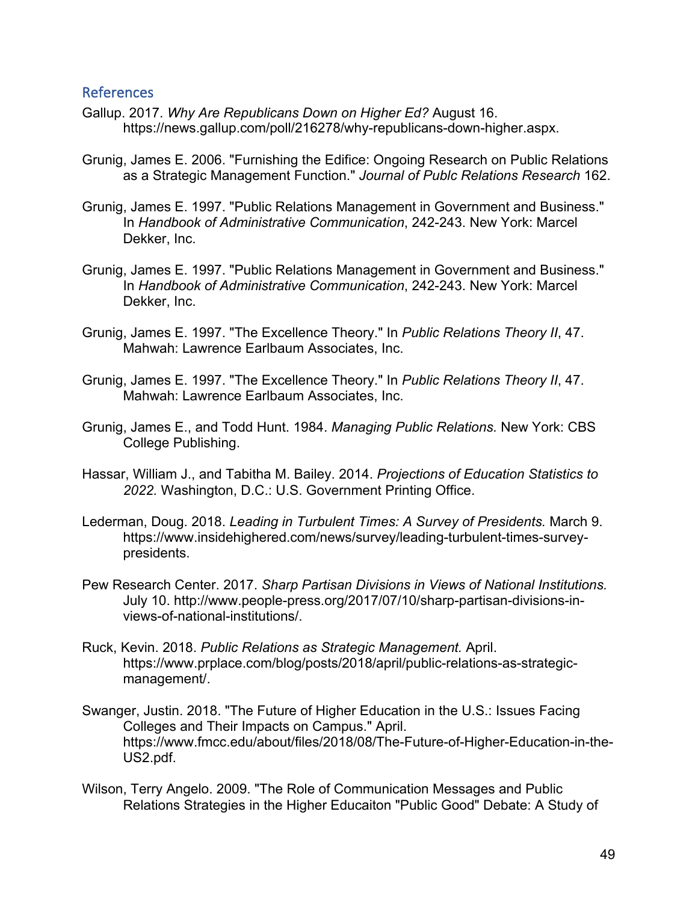### References

- Gallup. 2017. *Why Are Republicans Down on Higher Ed?* August 16. https://news.gallup.com/poll/216278/why-republicans-down-higher.aspx.
- Grunig, James E. 2006. "Furnishing the Edifice: Ongoing Research on Public Relations as a Strategic Management Function." *Journal of Publc Relations Research* 162.
- Grunig, James E. 1997. "Public Relations Management in Government and Business." In *Handbook of Administrative Communication*, 242-243. New York: Marcel Dekker, Inc.
- Grunig, James E. 1997. "Public Relations Management in Government and Business." In *Handbook of Administrative Communication*, 242-243. New York: Marcel Dekker, Inc.
- Grunig, James E. 1997. "The Excellence Theory." In *Public Relations Theory II*, 47. Mahwah: Lawrence Earlbaum Associates, Inc.
- Grunig, James E. 1997. "The Excellence Theory." In *Public Relations Theory II*, 47. Mahwah: Lawrence Earlbaum Associates, Inc.
- Grunig, James E., and Todd Hunt. 1984. *Managing Public Relations.* New York: CBS College Publishing.
- Hassar, William J., and Tabitha M. Bailey. 2014. *Projections of Education Statistics to 2022.* Washington, D.C.: U.S. Government Printing Office.
- Lederman, Doug. 2018. *Leading in Turbulent Times: A Survey of Presidents.* March 9. https://www.insidehighered.com/news/survey/leading-turbulent-times-surveypresidents.
- Pew Research Center. 2017. *Sharp Partisan Divisions in Views of National Institutions.* July 10. http://www.people-press.org/2017/07/10/sharp-partisan-divisions-inviews-of-national-institutions/.
- Ruck, Kevin. 2018. *Public Relations as Strategic Management.* April. https://www.prplace.com/blog/posts/2018/april/public-relations-as-strategicmanagement/.
- Swanger, Justin. 2018. "The Future of Higher Education in the U.S.: Issues Facing Colleges and Their Impacts on Campus." April. https://www.fmcc.edu/about/files/2018/08/The-Future-of-Higher-Education-in-the-US2.pdf.
- Wilson, Terry Angelo. 2009. "The Role of Communication Messages and Public Relations Strategies in the Higher Educaiton "Public Good" Debate: A Study of